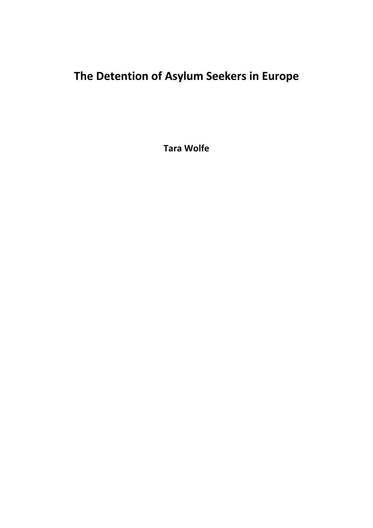# **The Detention of Asylum Seekers in Europe**

**Tara Wolfe**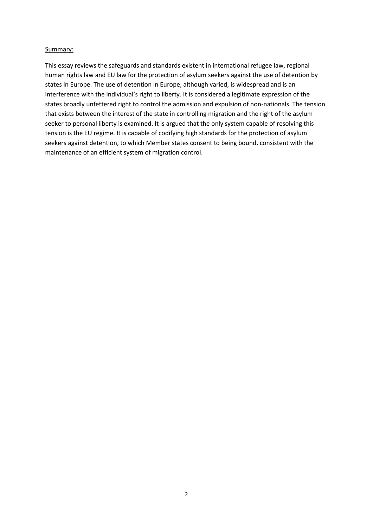## Summary:

This essay reviews the safeguards and standards existent in international refugee law, regional human rights law and EU law for the protection of asylum seekers against the use of detention by states in Europe. The use of detention in Europe, although varied, is widespread and is an interference with the individual's right to liberty. It is considered a legitimate expression of the states broadly unfettered right to control the admission and expulsion of non-nationals. The tension that exists between the interest of the state in controlling migration and the right of the asylum seeker to personal liberty is examined. It is argued that the only system capable of resolving this tension is the EU regime. It is capable of codifying high standards for the protection of asylum seekers against detention, to which Member states consent to being bound, consistent with the maintenance of an efficient system of migration control.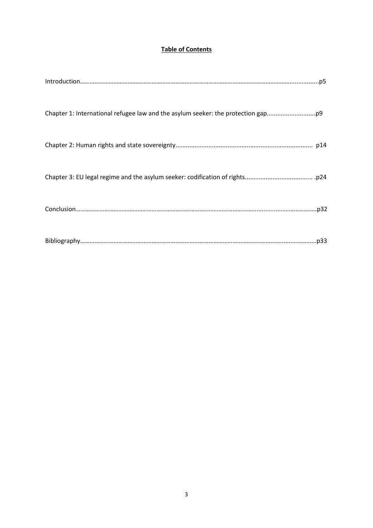## **Table of Contents**

| Chapter 1: International refugee law and the asylum seeker: the protection gap |
|--------------------------------------------------------------------------------|
|                                                                                |
|                                                                                |
|                                                                                |
|                                                                                |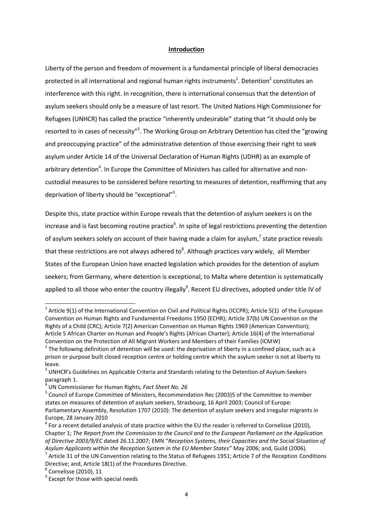#### **Introduction**

Liberty of the person and freedom of movement is a fundamental principle of liberal democracies protected in all international and regional human rights instruments<sup>1</sup>. Detention<sup>2</sup> constitutes an interference with this right. In recognition, there is international consensus that the detention of asylum seekers should only be a measure of last resort. The United Nations High Commissioner for Refugees (UNHCR) has called the practice "inherently undesirable" stating that "it should only be resorted to in cases of necessity"<sup>3</sup>. The Working Group on Arbitrary Detention has cited the "growing and preoccupying practice" of the administrative detention of those exercising their right to seek asylum under Article 14 of the Universal Declaration of Human Rights (UDHR) as an example of arbitrary detention<sup>4</sup>. In Europe the Committee of Ministers has called for alternative and noncustodial measures to be considered before resorting to measures of detention, reaffirming that any deprivation of liberty should be "exceptional"<sup>5</sup>.

Despite this, state practice within Europe reveals that the detention of asylum seekers is on the increase and is fast becoming routine practice<sup>6</sup>. In spite of legal restrictions preventing the detention of asylum seekers solely on account of their having made a claim for asylum,<sup>7</sup> state practice reveals that these restrictions are not always adhered to<sup>8</sup>. Although practices vary widely, all Member States of the European Union have enacted legislation which provides for the detention of asylum seekers; from Germany, where detention is exceptional, to Malta where detention is systematically applied to all those who enter the country illegally<sup>9</sup>. Recent EU directives, adopted under title IV of

<sup>&</sup>lt;sup>1</sup> Article 9(1) of the International Convention on Civil and Political Rights (ICCPR); Article 5(1) of the European Convention on Human Rights and Fundamental Freedoms 1950 (ECHR); Article 37(b) UN Convention on the Rights of a Child (CRC); Article 7(2) American Convention on Human Rights 1969 (American Convention); Article 5 African Charter on Human and People's Rights (African Charter); Article 16(4) of the International Convention on the Protection of All Migrant Workers and Members of their Families (ICMW)

 $2$  The following definition of detention will be used: the deprivation of liberty in a confined place, such as a prison or purpose built closed reception centre or holding centre which the asylum seeker is not at liberty to leave.

 $3$  UNHCR's Guidelines on Applicable Criteria and Standards relating to the Detention of Asylum-Seekers paragraph 1.

<sup>4</sup> UN Commissioner for Human Rights, *Fact Sheet No. 26* 

<sup>&</sup>lt;sup>5</sup> Council of Europe Committee of Ministers, Recommendation Rec (2003)5 of the Committee to member states on measures of detention of asylum seekers, Strasbourg, 16 April 2003; Council of Europe: Parliamentary Assembly, Resolution 1707 (2010): The detention of asylum seekers and irregular migrants in Europe, 28 January 2010

 $<sup>6</sup>$  For a recent detailed analysis of state practice within the EU the reader is referred to Cornelisse (2010),</sup> Chapter 1; *The Report from the Commission to the Council and to the European Parliament on the Application of Directive 2003/9/EC* dated 26.11.2007; EMN "*Reception Systems, their Capacities and the Social Situation of Asylum Applicants within the Reception System in the EU Member States"* May 2006; and, Guild (2006).

 $^7$  Article 31 of the UN Convention relating to the Status of Refugees 1951; Article 7 of the Reception Conditions Directive; and, Article 18(1) of the Procedures Directive.

<sup>8</sup> Cornelisse (2010), 11

<sup>&</sup>lt;sup>9</sup> Except for those with special needs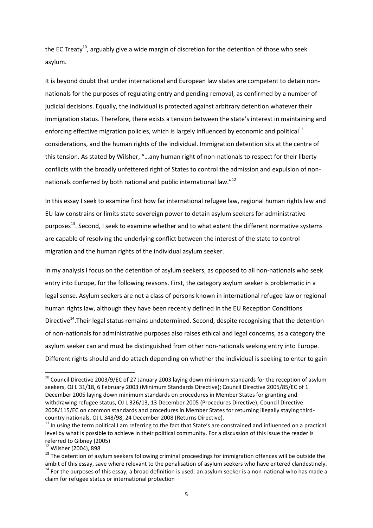the EC Treaty<sup>10</sup>, arguably give a wide margin of discretion for the detention of those who seek asylum.

It is beyond doubt that under international and European law states are competent to detain nonnationals for the purposes of regulating entry and pending removal, as confirmed by a number of judicial decisions. Equally, the individual is protected against arbitrary detention whatever their immigration status. Therefore, there exists a tension between the state's interest in maintaining and enforcing effective migration policies, which is largely influenced by economic and political<sup>11</sup> considerations, and the human rights of the individual. Immigration detention sits at the centre of this tension. As stated by Wilsher, "…any human right of non-nationals to respect for their liberty conflicts with the broadly unfettered right of States to control the admission and expulsion of nonnationals conferred by both national and public international law."<sup>12</sup>

In this essay I seek to examine first how far international refugee law, regional human rights law and EU law constrains or limits state sovereign power to detain asylum seekers for administrative purposes<sup>13</sup>. Second, I seek to examine whether and to what extent the different normative systems are capable of resolving the underlying conflict between the interest of the state to control migration and the human rights of the individual asylum seeker.

In my analysis I focus on the detention of asylum seekers, as opposed to all non-nationals who seek entry into Europe, for the following reasons. First, the category asylum seeker is problematic in a legal sense. Asylum seekers are not a class of persons known in international refugee law or regional human rights law, although they have been recently defined in the EU Reception Conditions Directive<sup>14</sup>. Their legal status remains undetermined. Second, despite recognising that the detention of non-nationals for administrative purposes also raises ethical and legal concerns, as a category the asylum seeker can and must be distinguished from other non-nationals seeking entry into Europe. Different rights should and do attach depending on whether the individual is seeking to enter to gain

<sup>&</sup>lt;sup>10</sup> Council Directive 2003/9/EC of 27 January 2003 laying down minimum standards for the reception of asylum seekers, OJ L 31/18, 6 February 2003 (Minimum Standards Directive); Council Directive 2005/85/EC of 1 December 2005 laying down minimum standards on procedures in Member States for granting and withdrawing refugee status, OJ L 326/13, 13 December 2005 (Procedures Directive); Council Directive 2008/115/EC on common standards and procedures in Member States for returning illegally staying thirdcountry nationals, OJ L 348/98, 24 December 2008 (Returns Directive).

<sup>&</sup>lt;sup>11</sup> In using the term political I am referring to the fact that State's are constrained and influenced on a practical level by what is possible to achieve in their political community. For a discussion of this issue the reader is referred to Gibney (2005)

<sup>12</sup> Wilsher (2004), 898

<sup>&</sup>lt;sup>13</sup> The detention of asylum seekers following criminal proceedings for immigration offences will be outside the ambit of this essay, save where relevant to the penalisation of asylum seekers who have entered clandestinely.  $14$  For the purposes of this essay, a broad definition is used: an asylum seeker is a non-national who has made a claim for refugee status or international protection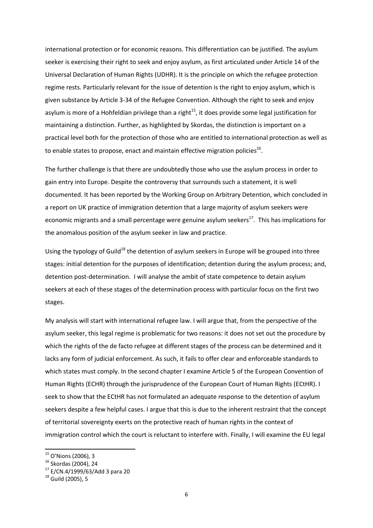international protection or for economic reasons. This differentiation can be justified. The asylum seeker is exercising their right to seek and enjoy asylum, as first articulated under Article 14 of the Universal Declaration of Human Rights (UDHR). It is the principle on which the refugee protection regime rests. Particularly relevant for the issue of detention is the right to enjoy asylum, which is given substance by Article 3-34 of the Refugee Convention. Although the right to seek and enjoy asylum is more of a Hohfeldian privilege than a right<sup>15</sup>, it does provide some legal justification for maintaining a distinction. Further, as highlighted by Skordas, the distinction is important on a practical level both for the protection of those who are entitled to international protection as well as to enable states to propose, enact and maintain effective migration policies<sup>16</sup>.

The further challenge is that there are undoubtedly those who use the asylum process in order to gain entry into Europe. Despite the controversy that surrounds such a statement, it is well documented. It has been reported by the Working Group on Arbitrary Detention, which concluded in a report on UK practice of immigration detention that a large majority of asylum seekers were economic migrants and a small percentage were genuine asylum seekers $^{17}$ . This has implications for the anomalous position of the asylum seeker in law and practice.

Using the typology of Guild<sup>18</sup> the detention of asylum seekers in Europe will be grouped into three stages: initial detention for the purposes of identification; detention during the asylum process; and, detention post-determination. I will analyse the ambit of state competence to detain asylum seekers at each of these stages of the determination process with particular focus on the first two stages.

My analysis will start with international refugee law. I will argue that, from the perspective of the asylum seeker, this legal regime is problematic for two reasons: it does not set out the procedure by which the rights of the de facto refugee at different stages of the process can be determined and it lacks any form of judicial enforcement. As such, it fails to offer clear and enforceable standards to which states must comply. In the second chapter I examine Article 5 of the European Convention of Human Rights (ECHR) through the jurisprudence of the European Court of Human Rights (ECtHR). I seek to show that the ECtHR has not formulated an adequate response to the detention of asylum seekers despite a few helpful cases. I argue that this is due to the inherent restraint that the concept of territorial sovereignty exerts on the protective reach of human rights in the context of immigration control which the court is reluctant to interfere with. Finally, I will examine the EU legal

<sup>&</sup>lt;sup>15</sup> O'Nions (2006), 3

<sup>16</sup> Skordas (2004), 24

<sup>17</sup> E/CN.4/1999/63/Add 3 para 20

 $18$  Guild (2005), 5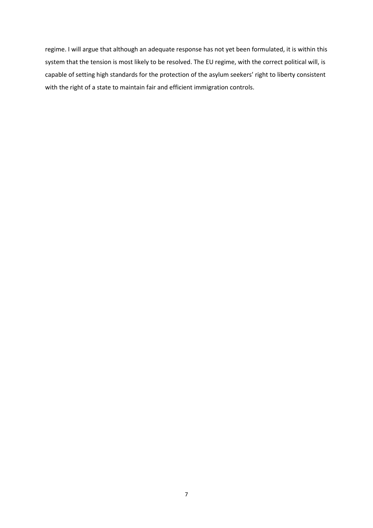regime. I will argue that although an adequate response has not yet been formulated, it is within this system that the tension is most likely to be resolved. The EU regime, with the correct political will, is capable of setting high standards for the protection of the asylum seekers' right to liberty consistent with the right of a state to maintain fair and efficient immigration controls.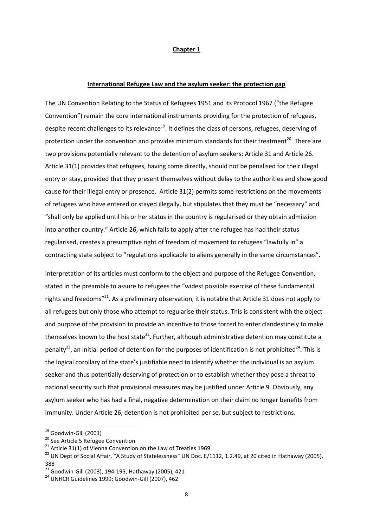#### **Chapter 1**

#### **International Refugee Law and the asylum seeker: the protection gap**

The UN Convention Relating to the Status of Refugees 1951 and its Protocol 1967 ("the Refugee Convention") remain the core international instruments providing for the protection of refugees, despite recent challenges to its relevance<sup>19</sup>. It defines the class of persons, refugees, deserving of protection under the convention and provides minimum standards for their treatment<sup>20</sup>. There are two provisions potentially relevant to the detention of asylum seekers: Article 31 and Article 26. Article 31(1) provides that refugees, having come directly, should not be penalised for their illegal entry or stay, provided that they present themselves without delay to the authorities and show good cause for their illegal entry or presence. Article 31(2) permits some restrictions on the movements of refugees who have entered or stayed illegally, but stipulates that they must be "necessary" and "shall only be applied until his or her status in the country is regularised or they obtain admission into another country." Article 26, which falls to apply after the refugee has had their status regularised, creates a presumptive right of freedom of movement to refugees "lawfully in" a contracting state subject to "regulations applicable to aliens generally in the same circumstances".

Interpretation of its articles must conform to the object and purpose of the Refugee Convention, stated in the preamble to assure to refugees the "widest possible exercise of these fundamental rights and freedoms"<sup>21</sup>. As a preliminary observation, it is notable that Article 31 does not apply to all refugees but only those who attempt to regularise their status. This is consistent with the object and purpose of the provision to provide an incentive to those forced to enter clandestinely to make themselves known to the host state<sup>22</sup>. Further, although administrative detention may constitute a penalty<sup>23</sup>, an initial period of detention for the purposes of identification is not prohibited<sup>24</sup>. This is the logical corollary of the state's justifiable need to identify whether the individual is an asylum seeker and thus potentially deserving of protection or to establish whether they pose a threat to national security such that provisional measures may be justified under Article 9. Obviously, any asylum seeker who has had a final, negative determination on their claim no longer benefits from immunity. Under Article 26, detention is not prohibited per se, but subject to restrictions.

 $^{19}$  Goodwin-Gill (2001)

<sup>&</sup>lt;sup>20</sup> See Article 5 Refugee Convention

 $21$  Article 31(1) of Vienna Convention on the Law of Treaties 1969

<sup>&</sup>lt;sup>22</sup> UN Dept of Social Affair, "A Study of Statelessness" UN Doc. E/1112, 1.2.49, at 20 cited in Hathaway (2005), 388

<sup>23</sup> Goodwin-Gill (2003), 194-195; Hathaway (2005), 421

<sup>24</sup> UNHCR Guidelines 1999; Goodwin-Gill (2007), 462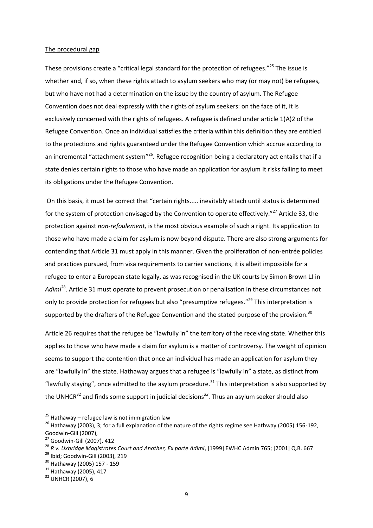#### The procedural gap

These provisions create a "critical legal standard for the protection of refugees."<sup>25</sup> The issue is whether and, if so, when these rights attach to asylum seekers who may (or may not) be refugees, but who have not had a determination on the issue by the country of asylum. The Refugee Convention does not deal expressly with the rights of asylum seekers: on the face of it, it is exclusively concerned with the rights of refugees. A refugee is defined under article 1(A)2 of the Refugee Convention. Once an individual satisfies the criteria within this definition they are entitled to the protections and rights guaranteed under the Refugee Convention which accrue according to an incremental "attachment system"<sup>26</sup>. Refugee recognition being a declaratory act entails that if a state denies certain rights to those who have made an application for asylum it risks failing to meet its obligations under the Refugee Convention.

On this basis, it must be correct that "certain rights..... inevitably attach until status is determined for the system of protection envisaged by the Convention to operate effectively."<sup>27</sup> Article 33, the protection against *non-refoulement,* is the most obvious example of such a right. Its application to those who have made a claim for asylum is now beyond dispute. There are also strong arguments for contending that Article 31 must apply in this manner. Given the proliferation of non-entrée policies and practices pursued, from visa requirements to carrier sanctions, it is albeit impossible for a refugee to enter a European state legally, as was recognised in the UK courts by Simon Brown LJ in *Adimi*<sup>28</sup>. Article 31 must operate to prevent prosecution or penalisation in these circumstances not only to provide protection for refugees but also "presumptive refugees."<sup>29</sup> This interpretation is supported by the drafters of the Refugee Convention and the stated purpose of the provision.<sup>30</sup>

Article 26 requires that the refugee be "lawfully in" the territory of the receiving state. Whether this applies to those who have made a claim for asylum is a matter of controversy. The weight of opinion seems to support the contention that once an individual has made an application for asylum they are "lawfully in" the state. Hathaway argues that a refugee is "lawfully in" a state, as distinct from "lawfully staying", once admitted to the asylum procedure. $31$  This interpretation is also supported by the UNHCR<sup>32</sup> and finds some support in judicial decisions<sup>33</sup>. Thus an asylum seeker should also

 $^{25}$  Hathaway – refugee law is not immigration law

<sup>&</sup>lt;sup>26</sup> Hathawav (2003), 3; for a full explanation of the nature of the rights regime see Hathway (2005) 156-192, Goodwin-Gill (2007),

<sup>&</sup>lt;sup>27</sup> Goodwin-Gill (2007), 412

<sup>28</sup> *R v. Uxbridge Magistrates Court and Another, Ex parte Adimi*, [1999] EWHC Admin 765; [2001] Q.B. 667

<sup>29</sup> Ibid; Goodwin-Gill (2003), 219

<sup>30</sup> Hathaway (2005) 157 - 159

<sup>&</sup>lt;sup>31</sup> Hathaway (2005), 417

<sup>32</sup> UNHCR (2007), 6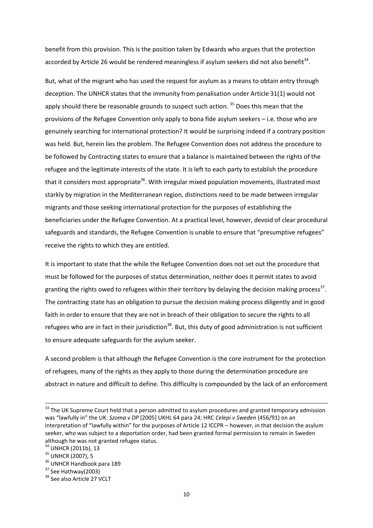benefit from this provision. This is the position taken by Edwards who argues that the protection accorded by Article 26 would be rendered meaningless if asylum seekers did not also benefit<sup>34</sup>.

But, what of the migrant who has used the request for asylum as a means to obtain entry through deception. The UNHCR states that the immunity from penalisation under Article 31(1) would not apply should there be reasonable grounds to suspect such action.<sup>35</sup> Does this mean that the provisions of the Refugee Convention only apply to bona fide asylum seekers – i.e. those who are genuinely searching for international protection? It would be surprising indeed if a contrary position was held. But, herein lies the problem. The Refugee Convention does not address the procedure to be followed by Contracting states to ensure that a balance is maintained between the rights of the refugee and the legitimate interests of the state. It is left to each party to establish the procedure that it considers most appropriate<sup>36</sup>. With irregular mixed population movements, illustrated most starkly by migration in the Mediterranean region, distinctions need to be made between irregular migrants and those seeking international protection for the purposes of establishing the beneficiaries under the Refugee Convention. At a practical level, however, devoid of clear procedural safeguards and standards, the Refugee Convention is unable to ensure that "presumptive refugees" receive the rights to which they are entitled.

It is important to state that the while the Refugee Convention does not set out the procedure that must be followed for the purposes of status determination, neither does it permit states to avoid granting the rights owed to refugees within their territory by delaying the decision making process<sup>37</sup>. The contracting state has an obligation to pursue the decision making process diligently and in good faith in order to ensure that they are not in breach of their obligation to secure the rights to all refugees who are in fact in their jurisdiction<sup>38</sup>. But, this duty of good administration is not sufficient to ensure adequate safeguards for the asylum seeker.

A second problem is that although the Refugee Convention is the core instrument for the protection of refugees, many of the rights as they apply to those during the determination procedure are abstract in nature and difficult to define. This difficulty is compounded by the lack of an enforcement

<sup>&</sup>lt;sup>33</sup> The UK Supreme Court held that a person admitted to asylum procedures and granted temporary admission was "lawfully in" the UK: *Szoma v DP* [2005] UKHL 64 para 24; HRC *Celepi v Sweden* (456/91) on an interpretation of "lawfully within" for the purposes of Article 12 ICCPR – however, in that decision the asylum seeker, who was subject to a deportation order, had been granted formal permission to remain in Sweden although he was not granted refugee status.

 $34$  UNHCR (2011b), 13

<sup>&</sup>lt;sup>35</sup> UNHCR (2007), 5

<sup>&</sup>lt;sup>36</sup> UNHCR Handbook para 189

<sup>&</sup>lt;sup>37</sup> See Hathway(2003)

<sup>&</sup>lt;sup>38</sup> See also Article 27 VCLT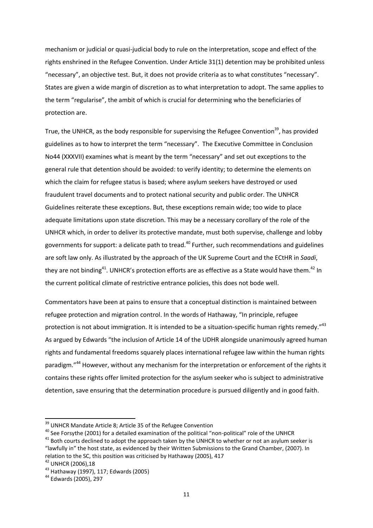mechanism or judicial or quasi-judicial body to rule on the interpretation, scope and effect of the rights enshrined in the Refugee Convention. Under Article 31(1) detention may be prohibited unless "necessary", an objective test. But, it does not provide criteria as to what constitutes "necessary". States are given a wide margin of discretion as to what interpretation to adopt. The same applies to the term "regularise", the ambit of which is crucial for determining who the beneficiaries of protection are.

True, the UNHCR, as the body responsible for supervising the Refugee Convention<sup>39</sup>, has provided guidelines as to how to interpret the term "necessary". The Executive Committee in Conclusion No44 (XXXVII) examines what is meant by the term "necessary" and set out exceptions to the general rule that detention should be avoided: to verify identity; to determine the elements on which the claim for refugee status is based; where asylum seekers have destroyed or used fraudulent travel documents and to protect national security and public order. The UNHCR Guidelines reiterate these exceptions. But, these exceptions remain wide; too wide to place adequate limitations upon state discretion. This may be a necessary corollary of the role of the UNHCR which, in order to deliver its protective mandate, must both supervise, challenge and lobby governments for support: a delicate path to tread.<sup>40</sup> Further, such recommendations and guidelines are soft law only. As illustrated by the approach of the UK Supreme Court and the ECtHR in *Saadi*, they are not binding<sup>41</sup>. UNHCR's protection efforts are as effective as a State would have them.<sup>42</sup> In the current political climate of restrictive entrance policies, this does not bode well.

Commentators have been at pains to ensure that a conceptual distinction is maintained between refugee protection and migration control. In the words of Hathaway, "In principle, refugee protection is not about immigration. It is intended to be a situation-specific human rights remedy."<sup>43</sup> As argued by Edwards "the inclusion of Article 14 of the UDHR alongside unanimously agreed human rights and fundamental freedoms squarely places international refugee law within the human rights paradigm."<sup>44</sup> However, without any mechanism for the interpretation or enforcement of the rights it contains these rights offer limited protection for the asylum seeker who is subject to administrative detention, save ensuring that the determination procedure is pursued diligently and in good faith.

<sup>40</sup> See Forsythe (2001) for a detailed examination of the political "non-political" role of the UNHCR

<sup>&</sup>lt;sup>39</sup> UNHCR Mandate Article 8; Article 35 of the Refugee Convention

 $41$  Both courts declined to adopt the approach taken by the UNHCR to whether or not an asylum seeker is "lawfully in" the host state, as evidenced by their Written Submissions to the Grand Chamber, (2007). In relation to the SC, this position was criticised by Hathaway (2005), 417

<sup>42</sup> UNHCR (2006),18

<sup>43</sup> Hathaway (1997), 117; Edwards (2005)

<sup>44</sup> Edwards (2005), 297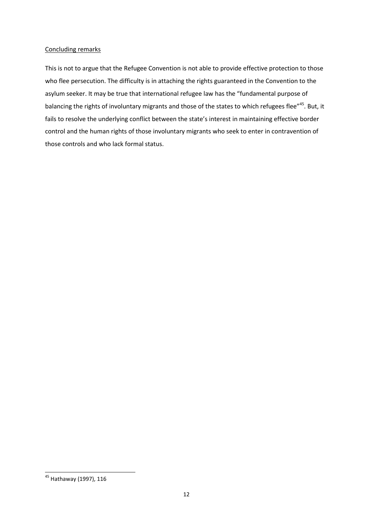## Concluding remarks

This is not to argue that the Refugee Convention is not able to provide effective protection to those who flee persecution. The difficulty is in attaching the rights guaranteed in the Convention to the asylum seeker. It may be true that international refugee law has the "fundamental purpose of balancing the rights of involuntary migrants and those of the states to which refugees flee"<sup>45</sup>. But, it fails to resolve the underlying conflict between the state's interest in maintaining effective border control and the human rights of those involuntary migrants who seek to enter in contravention of those controls and who lack formal status.

<sup>&</sup>lt;sup>45</sup> Hathaway (1997), 116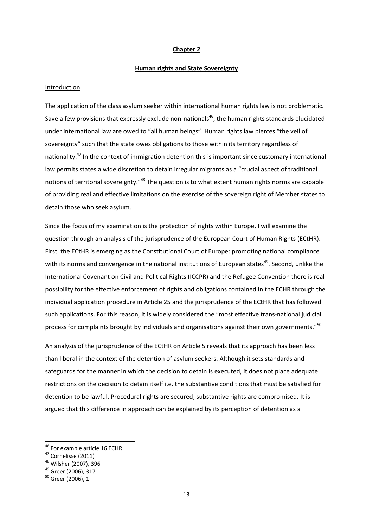#### **Chapter 2**

#### **Human rights and State Sovereignty**

#### Introduction

The application of the class asylum seeker within international human rights law is not problematic. Save a few provisions that expressly exclude non-nationals<sup>46</sup>, the human rights standards elucidated under international law are owed to "all human beings". Human rights law pierces "the veil of sovereignty" such that the state owes obligations to those within its territory regardless of nationality.<sup>47</sup> In the context of immigration detention this is important since customary international law permits states a wide discretion to detain irregular migrants as a "crucial aspect of traditional notions of territorial sovereignty."<sup>48</sup> The question is to what extent human rights norms are capable of providing real and effective limitations on the exercise of the sovereign right of Member states to detain those who seek asylum.

Since the focus of my examination is the protection of rights within Europe, I will examine the question through an analysis of the jurisprudence of the European Court of Human Rights (ECtHR). First, the ECtHR is emerging as the Constitutional Court of Europe: promoting national compliance with its norms and convergence in the national institutions of European states<sup>49</sup>. Second, unlike the International Covenant on Civil and Political Rights (ICCPR) and the Refugee Convention there is real possibility for the effective enforcement of rights and obligations contained in the ECHR through the individual application procedure in Article 25 and the jurisprudence of the ECtHR that has followed such applications. For this reason, it is widely considered the "most effective trans-national judicial process for complaints brought by individuals and organisations against their own governments."<sup>50</sup>

An analysis of the jurisprudence of the ECtHR on Article 5 reveals that its approach has been less than liberal in the context of the detention of asylum seekers. Although it sets standards and safeguards for the manner in which the decision to detain is executed, it does not place adequate restrictions on the decision to detain itself i.e. the substantive conditions that must be satisfied for detention to be lawful. Procedural rights are secured; substantive rights are compromised. It is argued that this difference in approach can be explained by its perception of detention as a

<sup>&</sup>lt;sup>46</sup> For example article 16 ECHR

<sup>47</sup> Cornelisse (2011)

<sup>48</sup> Wilsher (2007), 396

<sup>49</sup> Greer (2006), 317

 $50$  Greer (2006), 1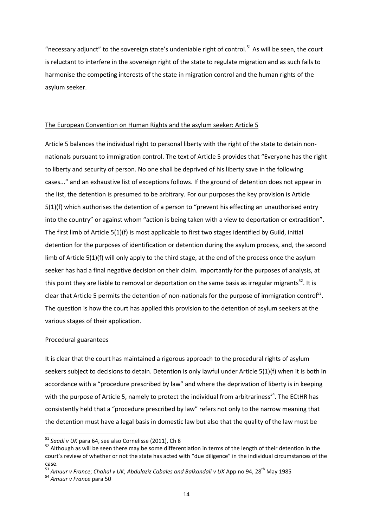"necessary adjunct" to the sovereign state's undeniable right of control.<sup>51</sup> As will be seen, the court is reluctant to interfere in the sovereign right of the state to regulate migration and as such fails to harmonise the competing interests of the state in migration control and the human rights of the asylum seeker.

## The European Convention on Human Rights and the asylum seeker: Article 5

Article 5 balances the individual right to personal liberty with the right of the state to detain nonnationals pursuant to immigration control. The text of Article 5 provides that "Everyone has the right to liberty and security of person. No one shall be deprived of his liberty save in the following cases..." and an exhaustive list of exceptions follows. If the ground of detention does not appear in the list, the detention is presumed to be arbitrary. For our purposes the key provision is Article 5(1)(f) which authorises the detention of a person to "prevent his effecting an unauthorised entry into the country" or against whom "action is being taken with a view to deportation or extradition". The first limb of Article 5(1)(f) is most applicable to first two stages identified by Guild, initial detention for the purposes of identification or detention during the asylum process, and, the second limb of Article 5(1)(f) will only apply to the third stage, at the end of the process once the asylum seeker has had a final negative decision on their claim. Importantly for the purposes of analysis, at this point they are liable to removal or deportation on the same basis as irregular migrants<sup>52</sup>. It is clear that Article 5 permits the detention of non-nationals for the purpose of immigration control<sup>53</sup>. The question is how the court has applied this provision to the detention of asylum seekers at the various stages of their application.

#### Procedural guarantees

It is clear that the court has maintained a rigorous approach to the procedural rights of asylum seekers subject to decisions to detain. Detention is only lawful under Article 5(1)(f) when it is both in accordance with a "procedure prescribed by law" and where the deprivation of liberty is in keeping with the purpose of Article 5, namely to protect the individual from arbitrariness<sup>54</sup>. The ECtHR has consistently held that a "procedure prescribed by law" refers not only to the narrow meaning that the detention must have a legal basis in domestic law but also that the quality of the law must be

<sup>51</sup> *Saadi v UK* para 64, see also Cornelisse (2011), Ch 8

<sup>&</sup>lt;sup>52</sup> Although as will be seen there may be some differentiation in terms of the length of their detention in the court's review of whether or not the state has acted with "due diligence" in the individual circumstances of the case.

<sup>53</sup> *Amuur v France*; *Chahal v UK*; *Abdulaziz Cabales and Balkandali v UK* App no 94, 28th May 1985

<sup>54</sup> *Amuur v France* para 50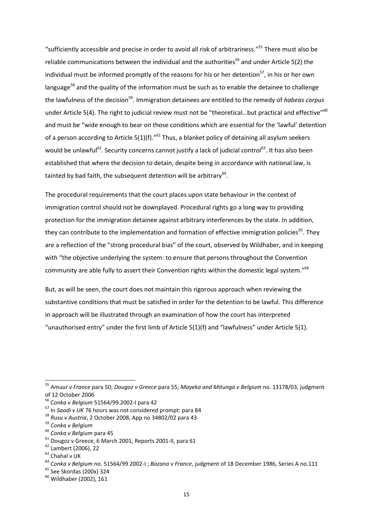"sufficiently accessible and precise in order to avoid all risk of arbitrariness."<sup>55</sup> There must also be reliable communications between the individual and the authorities<sup>56</sup> and under Article 5(2) the individual must be informed promptly of the reasons for his or her detention<sup>57</sup>, in his or her own language<sup>58</sup> and the quality of the information must be such as to enable the detainee to challenge the lawfulness of the decision<sup>59</sup>. Immigration detainees are entitled to the remedy of *habeas corpus* under Article 5(4). The right to judicial review must not be "theoretical...but practical and effective"<sup>60</sup> and must be "wide enough to bear on those conditions which are essential for the 'lawful' detention of a person according to Article 5(1)(f)."<sup>61</sup> Thus, a blanket policy of detaining all asylum seekers would be unlawful<sup>62</sup>. Security concerns cannot justify a lack of judicial control<sup>63</sup>. It has also been established that where the decision to detain, despite being in accordance with national law, is tainted by bad faith, the subsequent detention will be arbitrary $^{64}$ .

The procedural requirements that the court places upon state behaviour in the context of immigration control should not be downplayed. Procedural rights go a long way to providing protection for the immigration detainee against arbitrary interferences by the state. In addition, they can contribute to the implementation and formation of effective immigration policies<sup>65</sup>. They are a reflection of the "strong procedural bias" of the court, observed by Wildhaber, and in keeping with "the objective underlying the system: to ensure that persons throughout the Convention community are able fully to assert their Convention rights within the domestic legal system."<sup>66</sup>

But, as will be seen, the court does not maintain this rigorous approach when reviewing the substantive conditions that must be satisfied in order for the detention to be lawful. This difference in approach will be illustrated through an examination of how the court has interpreted "unauthorised entry" under the first limb of Article 5(1)(f) and "lawfulness" under Article 5(1).

<sup>55</sup> *Amuur v France* para 50; *Dougoz v Greece* para 55; *Mayeka and Mitunga v Belgium* no. 13178/03, judgment of 12 October 2006

<sup>56</sup> C*onka v Belgium* 51564/99 2002-I para 42

<sup>57</sup> In *Saadi v UK* 76 hours was not considered prompt: para 84

<sup>58</sup> *Rusu v Austria*, 2 October 2008, App no 34802/02 para 43

<sup>59</sup> *Conka v Belgium*

<sup>60</sup> *Conka v Belgium* para 45

<sup>61</sup> Dougoz v Greece, 6 March 2001, Reports 2001-II, para 61

<sup>62</sup> Lambert (2006), 22

<sup>63</sup> Chahal v UK

<sup>64</sup> *Conka v Belgium* no. 51564/99 2002-I ; *Bozano v France*, judgment of 18 December 1986, Series A no.111

<sup>65</sup> See Skordas (200x) 324

<sup>66</sup> Wildhaber (2002), 161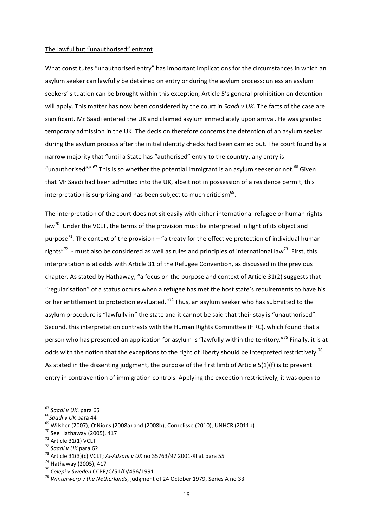#### The lawful but "unauthorised" entrant

What constitutes "unauthorised entry" has important implications for the circumstances in which an asylum seeker can lawfully be detained on entry or during the asylum process: unless an asylum seekers' situation can be brought within this exception, Article 5's general prohibition on detention will apply. This matter has now been considered by the court in *Saadi v UK.* The facts of the case are significant. Mr Saadi entered the UK and claimed asylum immediately upon arrival. He was granted temporary admission in the UK. The decision therefore concerns the detention of an asylum seeker during the asylum process after the initial identity checks had been carried out. The court found by a narrow majority that "until a State has "authorised" entry to the country, any entry is "unauthorised"".<sup>67</sup> This is so whether the potential immigrant is an asylum seeker or not.<sup>68</sup> Given that Mr Saadi had been admitted into the UK, albeit not in possession of a residence permit, this interpretation is surprising and has been subject to much criticism $^{69}$ .

The interpretation of the court does not sit easily with either international refugee or human rights law<sup>70</sup>. Under the VCLT, the terms of the provision must be interpreted in light of its object and purpose<sup>71</sup>. The context of the provision – "a treaty for the effective protection of individual human rights"<sup>72</sup> - must also be considered as well as rules and principles of international law<sup>73</sup>. First, this interpretation is at odds with Article 31 of the Refugee Convention, as discussed in the previous chapter. As stated by Hathaway, "a focus on the purpose and context of Article 31(2) suggests that "regularisation" of a status occurs when a refugee has met the host state's requirements to have his or her entitlement to protection evaluated."<sup>74</sup> Thus, an asylum seeker who has submitted to the asylum procedure is "lawfully in" the state and it cannot be said that their stay is "unauthorised". Second, this interpretation contrasts with the Human Rights Committee (HRC), which found that a person who has presented an application for asylum is "lawfully within the territory."<sup>75</sup> Finally, it is at odds with the notion that the exceptions to the right of liberty should be interpreted restrictively.<sup>76</sup> As stated in the dissenting judgment, the purpose of the first limb of Article 5(1)(f) is to prevent entry in contravention of immigration controls. Applying the exception restrictively, it was open to

<sup>67</sup> *Saadi v UK*, para 65

<sup>68</sup>*Saadi v UK* para 44

 $^{69}$  Wilsher (2007); O'Nions (2008a) and (2008b); Cornelisse (2010); UNHCR (2011b)

<sup>70</sup> See Hathaway (2005), 417

 $71$  Article 31(1) VCLT

<sup>72</sup> *Saadi v UK* para 62

<sup>73</sup> Article 31(3)(c) VCLT; *Al-Adsani v UK* no 35763/97 2001-XI at para 55

<sup>74</sup> Hathaway (2005), 417

<sup>75</sup> *Celepi v Sweden* CCPR/C/51/D/456/1991

<sup>76</sup> *Winterwerp v the Netherlands*, judgment of 24 October 1979, Series A no 33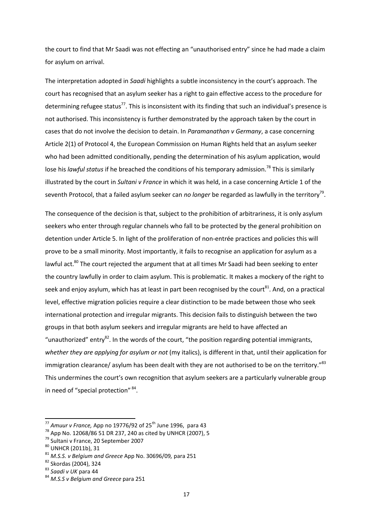the court to find that Mr Saadi was not effecting an "unauthorised entry" since he had made a claim for asylum on arrival.

The interpretation adopted in *Saadi* highlights a subtle inconsistency in the court's approach. The court has recognised that an asylum seeker has a right to gain effective access to the procedure for determining refugee status<sup>77</sup>. This is inconsistent with its finding that such an individual's presence is not authorised. This inconsistency is further demonstrated by the approach taken by the court in cases that do not involve the decision to detain. In *Paramanathan v Germany*, a case concerning Article 2(1) of Protocol 4, the European Commission on Human Rights held that an asylum seeker who had been admitted conditionally, pending the determination of his asylum application, would lose his *lawful status* if he breached the conditions of his temporary admission.<sup>78</sup> This is similarly illustrated by the court in *Sultani v France* in which it was held, in a case concerning Article 1 of the seventh Protocol, that a failed asylum seeker can *no longer* be regarded as lawfully in the territory<sup>79</sup>.

The consequence of the decision is that, subject to the prohibition of arbitrariness, it is only asylum seekers who enter through regular channels who fall to be protected by the general prohibition on detention under Article 5. In light of the proliferation of non-entrée practices and policies this will prove to be a small minority. Most importantly, it fails to recognise an application for asylum as a lawful act.<sup>80</sup> The court rejected the argument that at all times Mr Saadi had been seeking to enter the country lawfully in order to claim asylum. This is problematic. It makes a mockery of the right to seek and enjoy asylum, which has at least in part been recognised by the court<sup>81</sup>. And, on a practical level, effective migration policies require a clear distinction to be made between those who seek international protection and irregular migrants. This decision fails to distinguish between the two groups in that both asylum seekers and irregular migrants are held to have affected an "unauthorized" entry<sup>82</sup>. In the words of the court, "the position regarding potential immigrants, *whether they are applying for asylum or not* (my italics), is different in that, until their application for immigration clearance/ asylum has been dealt with they are not authorised to be on the territory."<sup>83</sup> This undermines the court's own recognition that asylum seekers are a particularly vulnerable group in need of "special protection" <sup>84</sup>.

<sup>&</sup>lt;sup>77</sup> Amuur v France, App no 19776/92 of 25<sup>th</sup> June 1996, para 43

 $^{78}$  App No. 12068/86 51 DR 237, 240 as cited by UNHCR (2007), 5

<sup>79</sup> Sultani v France, 20 September 2007

<sup>80</sup> UNHCR (2011b), 31

<sup>81</sup> *M.S.S. v Belgium and Greece* App No. 30696/09*,* para 251

<sup>82</sup> Skordas (2004), 324

<sup>83</sup> *Saadi v UK* para 44

<sup>84</sup> *M.S.S v Belgium and Greece* para 251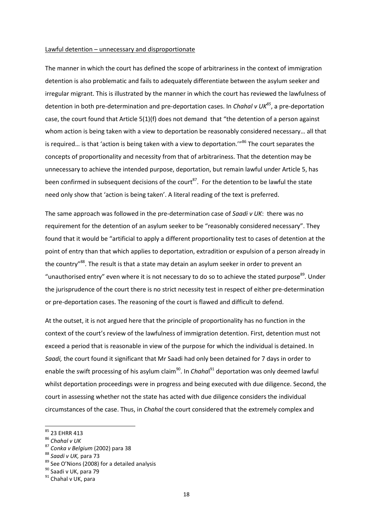#### Lawful detention – unnecessary and disproportionate

The manner in which the court has defined the scope of arbitrariness in the context of immigration detention is also problematic and fails to adequately differentiate between the asylum seeker and irregular migrant. This is illustrated by the manner in which the court has reviewed the lawfulness of detention in both pre-determination and pre-deportation cases. In *Chahal v UK<sup>85</sup>*, a pre-deportation case, the court found that Article 5(1)(f) does not demand that "the detention of a person against whom action is being taken with a view to deportation be reasonably considered necessary… all that is required… is that 'action is being taken with a view to deportation.'"<sup>86</sup> The court separates the concepts of proportionality and necessity from that of arbitrariness. That the detention may be unnecessary to achieve the intended purpose, deportation, but remain lawful under Article 5, has been confirmed in subsequent decisions of the court<sup>87</sup>. For the detention to be lawful the state need only show that 'action is being taken'. A literal reading of the text is preferred.

The same approach was followed in the pre-determination case of *Saadi v UK*: there was no requirement for the detention of an asylum seeker to be "reasonably considered necessary". They found that it would be "artificial to apply a different proportionality test to cases of detention at the point of entry than that which applies to deportation, extradition or expulsion of a person already in the country"<sup>88</sup>. The result is that a state may detain an asylum seeker in order to prevent an "unauthorised entry" even where it is not necessary to do so to achieve the stated purpose<sup>89</sup>. Under the jurisprudence of the court there is no strict necessity test in respect of either pre-determination or pre-deportation cases. The reasoning of the court is flawed and difficult to defend.

At the outset, it is not argued here that the principle of proportionality has no function in the context of the court's review of the lawfulness of immigration detention. First, detention must not exceed a period that is reasonable in view of the purpose for which the individual is detained. In *Saadi,* the court found it significant that Mr Saadi had only been detained for 7 days in order to enable the swift processing of his asylum claim<sup>90</sup>. In *Chaha*l<sup>91</sup> deportation was only deemed lawful whilst deportation proceedings were in progress and being executed with due diligence. Second, the court in assessing whether not the state has acted with due diligence considers the individual circumstances of the case. Thus, in *Chahal* the court considered that the extremely complex and

<sup>&</sup>lt;sup>85</sup> 23 EHRR 413

<sup>86</sup> *Chahal v UK*

<sup>87</sup> *Conka v Belgium* (2002) para 38

<sup>88</sup> *Saadi v UK,* para 73

<sup>89</sup> See O'Nions (2008) for a detailed analysis

<sup>90</sup> Saadi v UK, para 79

<sup>&</sup>lt;sup>91</sup> Chahal v UK, para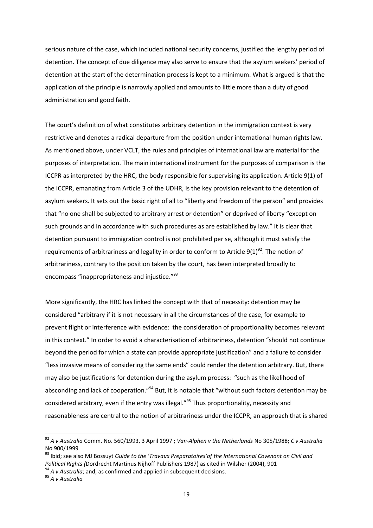serious nature of the case, which included national security concerns, justified the lengthy period of detention. The concept of due diligence may also serve to ensure that the asylum seekers' period of detention at the start of the determination process is kept to a minimum. What is argued is that the application of the principle is narrowly applied and amounts to little more than a duty of good administration and good faith.

The court's definition of what constitutes arbitrary detention in the immigration context is very restrictive and denotes a radical departure from the position under international human rights law. As mentioned above, under VCLT, the rules and principles of international law are material for the purposes of interpretation. The main international instrument for the purposes of comparison is the ICCPR as interpreted by the HRC, the body responsible for supervising its application. Article 9(1) of the ICCPR, emanating from Article 3 of the UDHR, is the key provision relevant to the detention of asylum seekers. It sets out the basic right of all to "liberty and freedom of the person" and provides that "no one shall be subjected to arbitrary arrest or detention" or deprived of liberty "except on such grounds and in accordance with such procedures as are established by law." It is clear that detention pursuant to immigration control is not prohibited per se, although it must satisfy the requirements of arbitrariness and legality in order to conform to Article  $9(1)^{92}$ . The notion of arbitrariness, contrary to the position taken by the court, has been interpreted broadly to encompass "inappropriateness and injustice."<sup>93</sup>

More significantly, the HRC has linked the concept with that of necessity: detention may be considered "arbitrary if it is not necessary in all the circumstances of the case, for example to prevent flight or interference with evidence: the consideration of proportionality becomes relevant in this context." In order to avoid a characterisation of arbitrariness, detention "should not continue beyond the period for which a state can provide appropriate justification" and a failure to consider "less invasive means of considering the same ends" could render the detention arbitrary. But, there may also be justifications for detention during the asylum process: "such as the likelihood of absconding and lack of cooperation."<sup>94</sup> But, it is notable that "without such factors detention may be considered arbitrary, even if the entry was illegal."<sup>95</sup> Thus proportionality, necessity and reasonableness are central to the notion of arbitrariness under the ICCPR, an approach that is shared

<sup>92</sup> *A v Australia* Comm. No. 560/1993, 3 April 1997 ; *Van-Alphen v the Netherlands* No 305/1988; *C v Australia* No 900/1999

<sup>93</sup> Ibid; see also MJ Bossuyt *Guide to the 'Travaux Preparatoires'of the International Covenant on Civil and Political Rights (*Dordrecht Martinus Nijhoff Publishers 1987) as cited in Wilsher (2004), 901

<sup>&</sup>lt;sup>94</sup> A v Australia; and, as confirmed and applied in subsequent decisions.

<sup>95</sup> *A v Australia*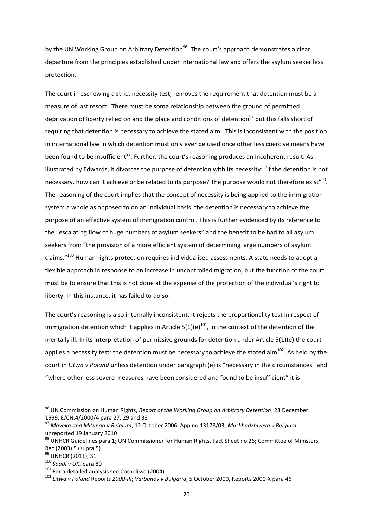by the UN Working Group on Arbitrary Detention<sup>96</sup>. The court's approach demonstrates a clear departure from the principles established under international law and offers the asylum seeker less protection.

The court in eschewing a strict necessity test, removes the requirement that detention must be a measure of last resort. There must be some relationship between the ground of permitted deprivation of liberty relied on and the place and conditions of detention<sup>97</sup> but this falls short of requiring that detention is necessary to achieve the stated aim. This is inconsistent with the position in international law in which detention must only ever be used once other less coercive means have been found to be insufficient<sup>98</sup>. Further, the court's reasoning produces an incoherent result. As illustrated by Edwards, it divorces the purpose of detention with its necessity: "if the detention is not necessary, how can it achieve or be related to its purpose? The purpose would not therefore exist"<sup>99</sup>. The reasoning of the court implies that the concept of necessity is being applied to the immigration system a whole as opposed to on an individual basis: the detention is necessary to achieve the purpose of an effective system of immigration control. This is further evidenced by its reference to the "escalating flow of huge numbers of asylum seekers" and the benefit to be had to all asylum seekers from "the provision of a more efficient system of determining large numbers of asylum claims."<sup>100</sup> Human rights protection requires individualised assessments. A state needs to adopt a flexible approach in response to an increase in uncontrolled migration, but the function of the court must be to ensure that this is not done at the expense of the protection of the individual's right to liberty. In this instance, it has failed to do so.

The court's reasoning is also internally inconsistent. It rejects the proportionality test in respect of immigration detention which it applies in Article  $5(1)(e)^{101}$ , in the context of the detention of the mentally ill. In its interpretation of permissive grounds for detention under Article 5(1)(e) the court applies a necessity test: the detention must be necessary to achieve the stated aim<sup>102</sup>. As held by the court in *Litwa v Poland* unless detention under paragraph (e) is "necessary in the circumstances" and "where other less severe measures have been considered and found to be insufficient" it is

<sup>96</sup> UN Commission on Human Rights, *Report of the Working Group on Arbitrary Detention*, 28 December 1999, E/CN.4/2000/4 para 27, 29 and 33

<sup>97</sup> *Mayeka and Mitunga v Belgium*, 12 October 2006, App no 13178/03; *Muskhadzhiyeva v Belgium*, unreported 19 January 2010

 $^{98}$  UNHCR Guidelines para 1; UN Commissioner for Human Rights, Fact Sheet no 26; Committee of Ministers, Rec (2003) 5 (supra 5)

<sup>99</sup> UNHCR (2011), 31

<sup>100</sup> *Saadi v UK,* para 80

<sup>101</sup> For a detailed analysis see Cornelisse (2004)

<sup>102</sup> *Litwa v Poland* Report*s 2000-III*; *Varbanov v Bulgaria*, 5 October 2000, Reports 2000-X para 46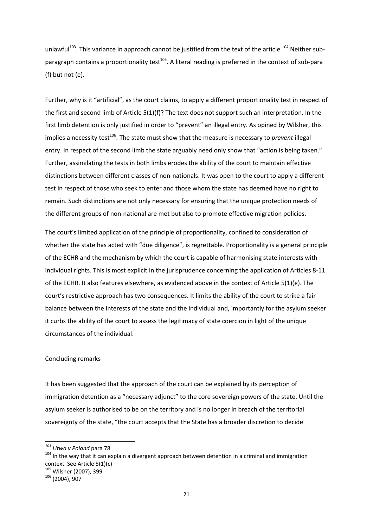unlawful<sup>103</sup>. This variance in approach cannot be justified from the text of the article.<sup>104</sup> Neither subparagraph contains a proportionality test<sup>105</sup>. A literal reading is preferred in the context of sub-para (f) but not (e).

Further, why is it "artificial", as the court claims, to apply a different proportionality test in respect of the first and second limb of Article 5(1)(f)? The text does not support such an interpretation. In the first limb detention is only justified in order to "prevent" an illegal entry. As opined by Wilsher, this implies a necessity test<sup>106</sup>. The state must show that the measure is necessary to *prevent* illegal entry. In respect of the second limb the state arguably need only show that "action is being taken." Further, assimilating the tests in both limbs erodes the ability of the court to maintain effective distinctions between different classes of non-nationals. It was open to the court to apply a different test in respect of those who seek to enter and those whom the state has deemed have no right to remain. Such distinctions are not only necessary for ensuring that the unique protection needs of the different groups of non-national are met but also to promote effective migration policies.

The court's limited application of the principle of proportionality, confined to consideration of whether the state has acted with "due diligence", is regrettable. Proportionality is a general principle of the ECHR and the mechanism by which the court is capable of harmonising state interests with individual rights. This is most explicit in the jurisprudence concerning the application of Articles 8-11 of the ECHR. It also features elsewhere, as evidenced above in the context of Article 5(1)(e). The court's restrictive approach has two consequences. It limits the ability of the court to strike a fair balance between the interests of the state and the individual and, importantly for the asylum seeker it curbs the ability of the court to assess the legitimacy of state coercion in light of the unique circumstances of the individual.

## Concluding remarks

It has been suggested that the approach of the court can be explained by its perception of immigration detention as a "necessary adjunct" to the core sovereign powers of the state. Until the asylum seeker is authorised to be on the territory and is no longer in breach of the territorial sovereignty of the state, "the court accepts that the State has a broader discretion to decide

*<sup>103</sup> Litwa v Poland* para 78

<sup>&</sup>lt;sup>104</sup> In the way that it can explain a divergent approach between detention in a criminal and immigration context See Article 5(1)(c)

<sup>105</sup> Wilsher (2007), 399

 $106$  (2004), 907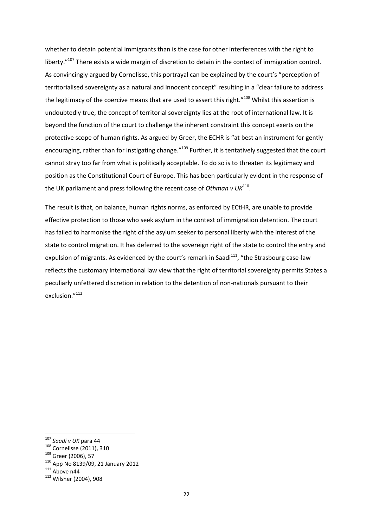whether to detain potential immigrants than is the case for other interferences with the right to liberty."<sup>107</sup> There exists a wide margin of discretion to detain in the context of immigration control. As convincingly argued by Cornelisse, this portrayal can be explained by the court's "perception of territorialised sovereignty as a natural and innocent concept" resulting in a "clear failure to address the legitimacy of the coercive means that are used to assert this right."<sup>108</sup> Whilst this assertion is undoubtedly true, the concept of territorial sovereignty lies at the root of international law. It is beyond the function of the court to challenge the inherent constraint this concept exerts on the protective scope of human rights. As argued by Greer, the ECHR is "at best an instrument for gently encouraging, rather than for instigating change."<sup>109</sup> Further, it is tentatively suggested that the court cannot stray too far from what is politically acceptable. To do so is to threaten its legitimacy and position as the Constitutional Court of Europe. This has been particularly evident in the response of the UK parliament and press following the recent case of Othman v UK<sup>110</sup>.

The result is that, on balance, human rights norms, as enforced by ECtHR, are unable to provide effective protection to those who seek asylum in the context of immigration detention. The court has failed to harmonise the right of the asylum seeker to personal liberty with the interest of the state to control migration. It has deferred to the sovereign right of the state to control the entry and expulsion of migrants. As evidenced by the court's remark in Saadi<sup>111</sup>, "the Strasbourg case-law reflects the customary international law view that the right of territorial sovereignty permits States a peculiarly unfettered discretion in relation to the detention of non-nationals pursuant to their exclusion."112

<sup>107</sup> *Saadi v UK* para 44

<sup>108</sup> Cornelisse (2011), 310

<sup>109</sup> Greer (2006), 57

<sup>110</sup> App No 8139/09, 21 January 2012

 $^{111}$  Above n44

<sup>112</sup> Wilsher (2004), 908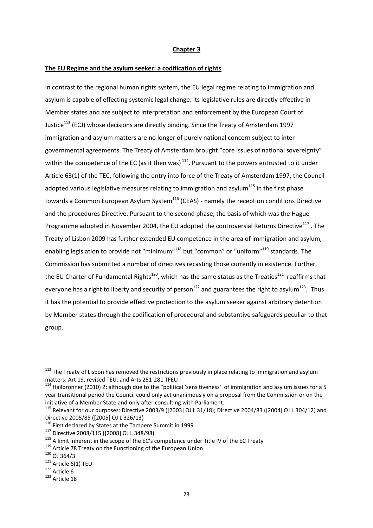#### **Chapter 3**

#### **The EU Regime and the asylum seeker: a codification of rights**

In contrast to the regional human rights system, the EU legal regime relating to immigration and asylum is capable of effecting systemic legal change: its legislative rules are directly effective in Member states and are subject to interpretation and enforcement by the European Court of Justice<sup>113</sup> (ECJ) whose decisions are directly binding. Since the Treaty of Amsterdam 1997 immigration and asylum matters are no longer of purely national concern subject to intergovernmental agreements. The Treaty of Amsterdam brought "core issues of national sovereignty" within the competence of the EC (as it then was)<sup>114</sup>. Pursuant to the powers entrusted to it under Article 63(1) of the TEC, following the entry into force of the Treaty of Amsterdam 1997, the Council adopted various legislative measures relating to immigration and asylum $^{115}$  in the first phase towards a Common European Asylum System<sup>116</sup> (CEAS) - namely the reception conditions Directive and the procedures Directive. Pursuant to the second phase, the basis of which was the Hague Programme adopted in November 2004, the EU adopted the controversial Returns Directive<sup>117</sup>. The Treaty of Lisbon 2009 has further extended EU competence in the area of immigration and asylum, enabling legislation to provide not "minimum"<sup>118</sup> but "common" or "uniform"<sup>119</sup> standards. The Commission has submitted a number of directives recasting those currently in existence. Further, the EU Charter of Fundamental Rights<sup>120</sup>, which has the same status as the Treaties<sup>121</sup> reaffirms that everyone has a right to liberty and security of person<sup>122</sup> and guarantees the right to asylum<sup>123</sup>. Thus it has the potential to provide effective protection to the asylum seeker against arbitrary detention by Member states through the codification of procedural and substantive safeguards peculiar to that group.

<sup>&</sup>lt;sup>113</sup> The Treaty of Lisbon has removed the restrictions previously in place relating to immigration and asylum matters: Art 19, revised TEU, and Arts 251-281 TFEU

 $114$  Hailbronner (2010) 2; although due to the "political 'sensitiveness' of immigration and asylum issues for a 5 year transitional period the Council could only act unanimously on a proposal from the Commission or on the initiative of a Member State and only after consulting with Parliament.

<sup>115</sup> Relevant for our purposes: Directive 2003/9 ([2003] OJ L 31/18); Directive 2004/83 ([2004] OJ L 304/12) and Directive 2005/85 ([2005] OJ L 326/13)

<sup>&</sup>lt;sup>116</sup> First declared by States at the Tampere Summit in 1999

<sup>117</sup> Directive 2008/115 ([2008] OJ L 348/98)

<sup>&</sup>lt;sup>118</sup> A limit inherent in the scope of the EC's competence under Title IV of the EC Treaty

<sup>&</sup>lt;sup>119</sup> Article 78 Treaty on the Functioning of the European Union

<sup>120</sup> OJ 364/3

 $121$  Article 6(1) TEU

 $122$  Article 6

 $123$  Article 18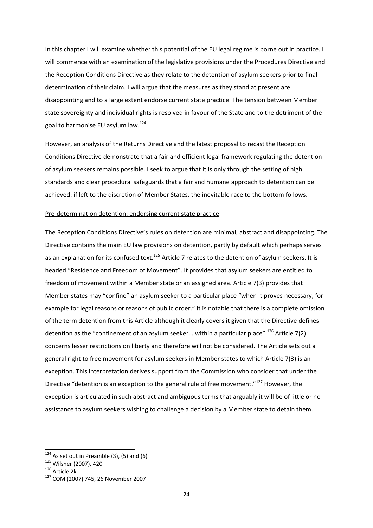In this chapter I will examine whether this potential of the EU legal regime is borne out in practice. I will commence with an examination of the legislative provisions under the Procedures Directive and the Reception Conditions Directive as they relate to the detention of asylum seekers prior to final determination of their claim. I will argue that the measures as they stand at present are disappointing and to a large extent endorse current state practice. The tension between Member state sovereignty and individual rights is resolved in favour of the State and to the detriment of the goal to harmonise EU asylum law.<sup>124</sup>

However, an analysis of the Returns Directive and the latest proposal to recast the Reception Conditions Directive demonstrate that a fair and efficient legal framework regulating the detention of asylum seekers remains possible. I seek to argue that it is only through the setting of high standards and clear procedural safeguards that a fair and humane approach to detention can be achieved: if left to the discretion of Member States, the inevitable race to the bottom follows.

#### Pre-determination detention: endorsing current state practice

The Reception Conditions Directive's rules on detention are minimal, abstract and disappointing. The Directive contains the main EU law provisions on detention, partly by default which perhaps serves as an explanation for its confused text.<sup>125</sup> Article 7 relates to the detention of asylum seekers. It is headed "Residence and Freedom of Movement". It provides that asylum seekers are entitled to freedom of movement within a Member state or an assigned area. Article 7(3) provides that Member states may "confine" an asylum seeker to a particular place "when it proves necessary, for example for legal reasons or reasons of public order." It is notable that there is a complete omission of the term detention from this Article although it clearly covers it given that the Directive defines detention as the "confinement of an asylum seeker....within a particular place"  $^{126}$  Article 7(2) concerns lesser restrictions on liberty and therefore will not be considered. The Article sets out a general right to free movement for asylum seekers in Member states to which Article 7(3) is an exception. This interpretation derives support from the Commission who consider that under the Directive "detention is an exception to the general rule of free movement."<sup>127</sup> However, the exception is articulated in such abstract and ambiguous terms that arguably it will be of little or no assistance to asylum seekers wishing to challenge a decision by a Member state to detain them.

 $124$  As set out in Preamble (3), (5) and (6)

<sup>125</sup> Wilsher (2007), 420

<sup>126</sup> Article 2k

<sup>127</sup> COM (2007) 745, 26 November 2007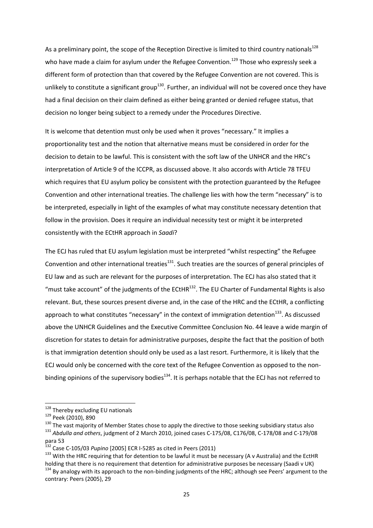As a preliminary point, the scope of the Reception Directive is limited to third country nationals<sup>128</sup> who have made a claim for asylum under the Refugee Convention.<sup>129</sup> Those who expressly seek a different form of protection than that covered by the Refugee Convention are not covered. This is unlikely to constitute a significant group<sup>130</sup>. Further, an individual will not be covered once they have had a final decision on their claim defined as either being granted or denied refugee status, that decision no longer being subject to a remedy under the Procedures Directive.

It is welcome that detention must only be used when it proves "necessary." It implies a proportionality test and the notion that alternative means must be considered in order for the decision to detain to be lawful. This is consistent with the soft law of the UNHCR and the HRC's interpretation of Article 9 of the ICCPR, as discussed above. It also accords with Article 78 TFEU which requires that EU asylum policy be consistent with the protection guaranteed by the Refugee Convention and other international treaties. The challenge lies with how the term "necessary" is to be interpreted, especially in light of the examples of what may constitute necessary detention that follow in the provision. Does it require an individual necessity test or might it be interpreted consistently with the ECtHR approach in *Saadi*?

The ECJ has ruled that EU asylum legislation must be interpreted "whilst respecting" the Refugee Convention and other international treaties $^{131}$ . Such treaties are the sources of general principles of EU law and as such are relevant for the purposes of interpretation. The ECJ has also stated that it "must take account" of the judgments of the ECtHR $^{132}$ . The EU Charter of Fundamental Rights is also relevant. But, these sources present diverse and, in the case of the HRC and the ECtHR, a conflicting approach to what constitutes "necessary" in the context of immigration detention<sup>133</sup>. As discussed above the UNHCR Guidelines and the Executive Committee Conclusion No. 44 leave a wide margin of discretion for states to detain for administrative purposes, despite the fact that the position of both is that immigration detention should only be used as a last resort. Furthermore, it is likely that the ECJ would only be concerned with the core text of the Refugee Convention as opposed to the nonbinding opinions of the supervisory bodies $^{134}$ . It is perhaps notable that the ECJ has not referred to

<sup>&</sup>lt;sup>128</sup> Thereby excluding EU nationals

<sup>129</sup> Peek (2010), 890

 $130$  The vast majority of Member States chose to apply the directive to those seeking subsidiary status also

<sup>131</sup> *Abdulla and others*, judgment of 2 March 2010, joined cases C-175/08, C176/08, C-178/08 and C-179/08 para 53

<sup>132</sup> Case C-105/03 *Pupino* [2005] ECR I-5285 as cited in Peers (2011)

<sup>&</sup>lt;sup>133</sup> With the HRC requiring that for detention to be lawful it must be necessary (A v Australia) and the EctHR holding that there is no requirement that detention for administrative purposes be necessary (Saadi v UK)

<sup>&</sup>lt;sup>134</sup> By analogy with its approach to the non-binding judgments of the HRC; although see Peers' argument to the contrary: Peers (2005), 29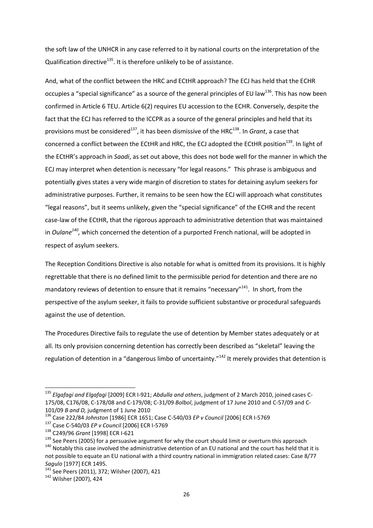the soft law of the UNHCR in any case referred to it by national courts on the interpretation of the Qualification directive<sup>135</sup>. It is therefore unlikely to be of assistance.

And, what of the conflict between the HRC and ECtHR approach? The ECJ has held that the ECHR occupies a "special significance" as a source of the general principles of EU law<sup>136</sup>. This has now been confirmed in Article 6 TEU. Article 6(2) requires EU accession to the ECHR. Conversely, despite the fact that the ECJ has referred to the ICCPR as a source of the general principles and held that its provisions must be considered<sup>137</sup>, it has been dismissive of the HRC<sup>138</sup>. In *Grant*, a case that concerned a conflict between the ECtHR and HRC, the ECJ adopted the ECtHR position<sup>139</sup>. In light of the ECtHR's approach in *Saadi*, as set out above, this does not bode well for the manner in which the ECJ may interpret when detention is necessary "for legal reasons." This phrase is ambiguous and potentially gives states a very wide margin of discretion to states for detaining asylum seekers for administrative purposes. Further, it remains to be seen how the ECJ will approach what constitutes "legal reasons", but it seems unlikely, given the "special significance" of the ECHR and the recent case-law of the ECtHR, that the rigorous approach to administrative detention that was maintained in *Oulane<sup>140</sup>*, which concerned the detention of a purported French national, will be adopted in respect of asylum seekers.

The Reception Conditions Directive is also notable for what is omitted from its provisions. It is highly regrettable that there is no defined limit to the permissible period for detention and there are no mandatory reviews of detention to ensure that it remains "necessary"<sup>141</sup>. In short, from the perspective of the asylum seeker, it fails to provide sufficient substantive or procedural safeguards against the use of detention.

The Procedures Directive fails to regulate the use of detention by Member states adequately or at all. Its only provision concerning detention has correctly been described as "skeletal" leaving the regulation of detention in a "dangerous limbo of uncertainty."<sup>142</sup> It merely provides that detention is

<sup>135</sup> *Elgafagi and Elgafagi* [2009] ECR I-921; *Abdulla and others*, judgment of 2 March 2010, joined cases C-175/08, C176/08, C-178/08 and C-179/08; C-31/09 *Bolbol*, judgment of 17 June 2010 and C-57/09 and C-101/09 *B and D,* judgment of 1 June 2010

<sup>136</sup> Case 222/84 *Johnston* [1986] ECR 1651; Case C-540/03 *EP v Council* [2006] ECR I-5769

<sup>137</sup> Case C-540/03 *EP v Council* [2006] ECR I-5769

<sup>138</sup> C249/96 *Grant* [1998] ECR I-621

<sup>&</sup>lt;sup>139</sup> See Peers (2005) for a persuasive argument for why the court should limit or overturn this approach <sup>140</sup> Notably this case involved the administrative detention of an EU national and the court has held that it is not possible to equate an EU national with a third country national in immigration related cases: Case 8/77 *Sagulo* [1977] ECR 1495.

<sup>141</sup> See Peers (2011), 372; Wilsher (2007), 421

<sup>142</sup> Wilsher (2007), 424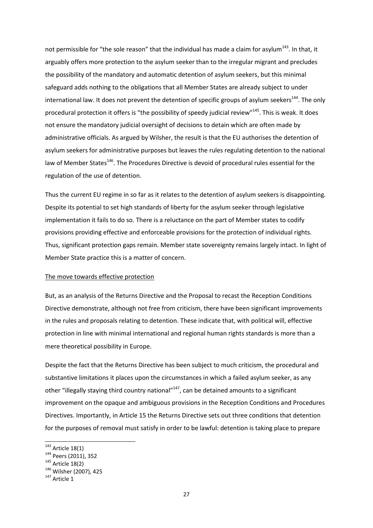not permissible for "the sole reason" that the individual has made a claim for asylum $^{143}$ . In that, it arguably offers more protection to the asylum seeker than to the irregular migrant and precludes the possibility of the mandatory and automatic detention of asylum seekers, but this minimal safeguard adds nothing to the obligations that all Member States are already subject to under international law. It does not prevent the detention of specific groups of asylum seekers<sup>144</sup>. The only procedural protection it offers is "the possibility of speedy judicial review"<sup>145</sup>. This is weak. It does not ensure the mandatory judicial oversight of decisions to detain which are often made by administrative officials. As argued by Wilsher, the result is that the EU authorises the detention of asylum seekers for administrative purposes but leaves the rules regulating detention to the national law of Member States<sup>146</sup>. The Procedures Directive is devoid of procedural rules essential for the regulation of the use of detention.

Thus the current EU regime in so far as it relates to the detention of asylum seekers is disappointing. Despite its potential to set high standards of liberty for the asylum seeker through legislative implementation it fails to do so. There is a reluctance on the part of Member states to codify provisions providing effective and enforceable provisions for the protection of individual rights. Thus, significant protection gaps remain. Member state sovereignty remains largely intact. In light of Member State practice this is a matter of concern.

#### The move towards effective protection

But, as an analysis of the Returns Directive and the Proposal to recast the Reception Conditions Directive demonstrate, although not free from criticism, there have been significant improvements in the rules and proposals relating to detention. These indicate that, with political will, effective protection in line with minimal international and regional human rights standards is more than a mere theoretical possibility in Europe.

Despite the fact that the Returns Directive has been subject to much criticism, the procedural and substantive limitations it places upon the circumstances in which a failed asylum seeker, as any other "illegally staying third country national"<sup>147</sup>, can be detained amounts to a significant improvement on the opaque and ambiguous provisions in the Reception Conditions and Procedures Directives. Importantly, in Article 15 the Returns Directive sets out three conditions that detention for the purposes of removal must satisfy in order to be lawful: detention is taking place to prepare

 $143$  Article 18(1)

<sup>144</sup> Peers (2011), 352

 $145$  Article 18(2)

 $146$  Wilsher (2007), 425

 $147$  Article 1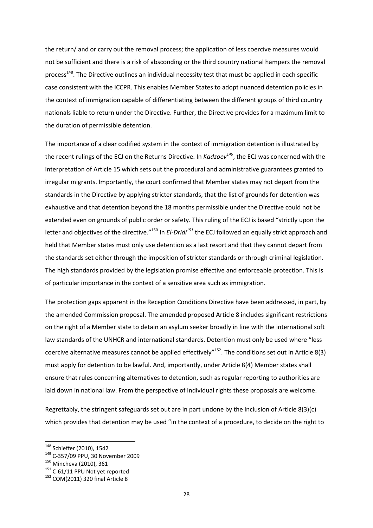the return/ and or carry out the removal process; the application of less coercive measures would not be sufficient and there is a risk of absconding or the third country national hampers the removal process<sup>148</sup>. The Directive outlines an individual necessity test that must be applied in each specific case consistent with the ICCPR. This enables Member States to adopt nuanced detention policies in the context of immigration capable of differentiating between the different groups of third country nationals liable to return under the Directive. Further, the Directive provides for a maximum limit to the duration of permissible detention.

The importance of a clear codified system in the context of immigration detention is illustrated by the recent rulings of the ECJ on the Returns Directive. In *Kadzoev<sup>149</sup>*, the ECJ was concerned with the interpretation of Article 15 which sets out the procedural and administrative guarantees granted to irregular migrants. Importantly, the court confirmed that Member states may not depart from the standards in the Directive by applying stricter standards, that the list of grounds for detention was exhaustive and that detention beyond the 18 months permissible under the Directive could not be extended even on grounds of public order or safety. This ruling of the ECJ is based "strictly upon the letter and objectives of the directive."<sup>150</sup> In *El-Dridi<sup>151</sup>* the ECJ followed an equally strict approach and held that Member states must only use detention as a last resort and that they cannot depart from the standards set either through the imposition of stricter standards or through criminal legislation. The high standards provided by the legislation promise effective and enforceable protection. This is of particular importance in the context of a sensitive area such as immigration.

The protection gaps apparent in the Reception Conditions Directive have been addressed, in part, by the amended Commission proposal. The amended proposed Article 8 includes significant restrictions on the right of a Member state to detain an asylum seeker broadly in line with the international soft law standards of the UNHCR and international standards. Detention must only be used where "less coercive alternative measures cannot be applied effectively"<sup>152</sup>. The conditions set out in Article 8(3) must apply for detention to be lawful. And, importantly, under Article 8(4) Member states shall ensure that rules concerning alternatives to detention, such as regular reporting to authorities are laid down in national law. From the perspective of individual rights these proposals are welcome.

Regrettably, the stringent safeguards set out are in part undone by the inclusion of Article 8(3)(c) which provides that detention may be used "in the context of a procedure, to decide on the right to

<sup>&</sup>lt;sup>148</sup> Schieffer (2010), 1542

<sup>149</sup> C-357/09 PPU, 30 November 2009

<sup>150</sup> Mincheva (2010), 361

<sup>&</sup>lt;sup>151</sup> C-61/11 PPU Not yet reported

<sup>&</sup>lt;sup>152</sup> COM(2011) 320 final Article 8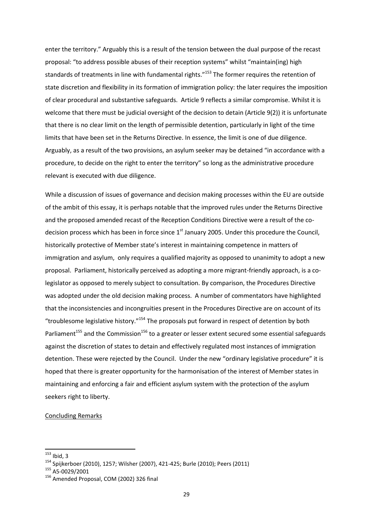enter the territory." Arguably this is a result of the tension between the dual purpose of the recast proposal: "to address possible abuses of their reception systems" whilst "maintain(ing) high standards of treatments in line with fundamental rights."<sup>153</sup> The former requires the retention of state discretion and flexibility in its formation of immigration policy: the later requires the imposition of clear procedural and substantive safeguards. Article 9 reflects a similar compromise. Whilst it is welcome that there must be judicial oversight of the decision to detain (Article 9(2)) it is unfortunate that there is no clear limit on the length of permissible detention, particularly in light of the time limits that have been set in the Returns Directive. In essence, the limit is one of due diligence. Arguably, as a result of the two provisions, an asylum seeker may be detained "in accordance with a procedure, to decide on the right to enter the territory" so long as the administrative procedure relevant is executed with due diligence.

While a discussion of issues of governance and decision making processes within the EU are outside of the ambit of this essay, it is perhaps notable that the improved rules under the Returns Directive and the proposed amended recast of the Reception Conditions Directive were a result of the codecision process which has been in force since  $1<sup>st</sup>$  January 2005. Under this procedure the Council, historically protective of Member state's interest in maintaining competence in matters of immigration and asylum, only requires a qualified majority as opposed to unanimity to adopt a new proposal. Parliament, historically perceived as adopting a more migrant-friendly approach, is a colegislator as opposed to merely subject to consultation. By comparison, the Procedures Directive was adopted under the old decision making process. A number of commentators have highlighted that the inconsistencies and incongruities present in the Procedures Directive are on account of its "troublesome legislative history."<sup>154</sup> The proposals put forward in respect of detention by both Parliament<sup>155</sup> and the Commission<sup>156</sup> to a greater or lesser extent secured some essential safeguards against the discretion of states to detain and effectively regulated most instances of immigration detention. These were rejected by the Council. Under the new "ordinary legislative procedure" it is hoped that there is greater opportunity for the harmonisation of the interest of Member states in maintaining and enforcing a fair and efficient asylum system with the protection of the asylum seekers right to liberty.

## Concluding Remarks

 $153$  Ibid, 3

<sup>154</sup> Spijkerboer (2010), 1257; Wilsher (2007), 421-425; Burle (2010); Peers (2011)

 $155$  A5-0029/2001

<sup>&</sup>lt;sup>156</sup> Amended Proposal, COM (2002) 326 final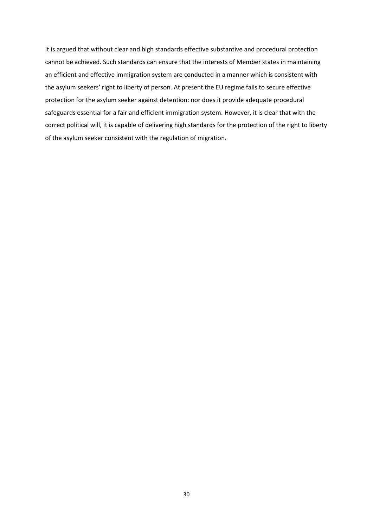It is argued that without clear and high standards effective substantive and procedural protection cannot be achieved. Such standards can ensure that the interests of Member states in maintaining an efficient and effective immigration system are conducted in a manner which is consistent with the asylum seekers' right to liberty of person. At present the EU regime fails to secure effective protection for the asylum seeker against detention: nor does it provide adequate procedural safeguards essential for a fair and efficient immigration system. However, it is clear that with the correct political will, it is capable of delivering high standards for the protection of the right to liberty of the asylum seeker consistent with the regulation of migration.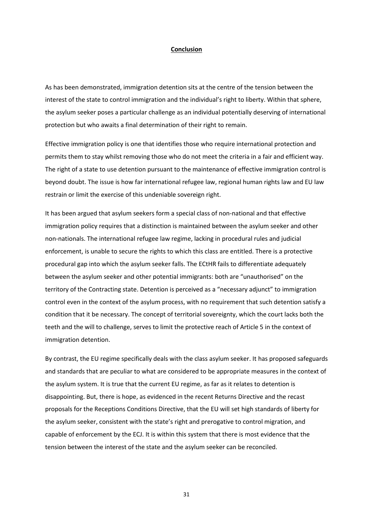#### **Conclusion**

As has been demonstrated, immigration detention sits at the centre of the tension between the interest of the state to control immigration and the individual's right to liberty. Within that sphere, the asylum seeker poses a particular challenge as an individual potentially deserving of international protection but who awaits a final determination of their right to remain.

Effective immigration policy is one that identifies those who require international protection and permits them to stay whilst removing those who do not meet the criteria in a fair and efficient way. The right of a state to use detention pursuant to the maintenance of effective immigration control is beyond doubt. The issue is how far international refugee law, regional human rights law and EU law restrain or limit the exercise of this undeniable sovereign right.

It has been argued that asylum seekers form a special class of non-national and that effective immigration policy requires that a distinction is maintained between the asylum seeker and other non-nationals. The international refugee law regime, lacking in procedural rules and judicial enforcement, is unable to secure the rights to which this class are entitled. There is a protective procedural gap into which the asylum seeker falls. The ECtHR fails to differentiate adequately between the asylum seeker and other potential immigrants: both are "unauthorised" on the territory of the Contracting state. Detention is perceived as a "necessary adjunct" to immigration control even in the context of the asylum process, with no requirement that such detention satisfy a condition that it be necessary. The concept of territorial sovereignty, which the court lacks both the teeth and the will to challenge, serves to limit the protective reach of Article 5 in the context of immigration detention.

By contrast, the EU regime specifically deals with the class asylum seeker. It has proposed safeguards and standards that are peculiar to what are considered to be appropriate measures in the context of the asylum system. It is true that the current EU regime, as far as it relates to detention is disappointing. But, there is hope, as evidenced in the recent Returns Directive and the recast proposals for the Receptions Conditions Directive, that the EU will set high standards of liberty for the asylum seeker, consistent with the state's right and prerogative to control migration, and capable of enforcement by the ECJ. It is within this system that there is most evidence that the tension between the interest of the state and the asylum seeker can be reconciled.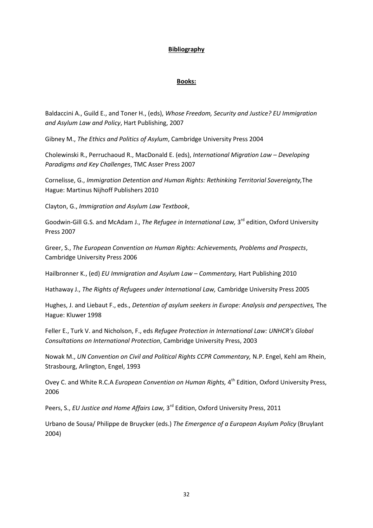## **Bibliography**

## **Books:**

Baldaccini A., Guild E., and Toner H., (eds), *Whose Freedom, Security and Justice? EU Immigration and Asylum Law and Policy*, Hart Publishing, 2007

Gibney M., *The Ethics and Politics of Asylum*, Cambridge University Press 2004

Cholewinski R., Perruchaoud R., MacDonald E. (eds), *International Migration Law – Developing Paradigms and Key Challenges*, TMC Asser Press 2007

Cornelisse, G., *Immigration Detention and Human Rights: Rethinking Territorial Sovereignty,*The Hague: Martinus Nijhoff Publishers 2010

Clayton, G., *Immigration and Asylum Law Textbook*,

Goodwin-Gill G.S. and McAdam J., The Refugee in International Law, 3<sup>rd</sup> edition, Oxford University Press 2007

Greer, S., *The European Convention on Human Rights: Achievements, Problems and Prospects*, Cambridge University Press 2006

Hailbronner K., (ed) *EU Immigration and Asylum Law – Commentary,* Hart Publishing 2010

Hathaway J., *The Rights of Refugees under International Law,* Cambridge University Press 2005

Hughes, J. and Liebaut F., eds., *Detention of asylum seekers in Europe: Analysis and perspectives,* The Hague: Kluwer 1998

Feller E., Turk V. and Nicholson, F., eds *Refugee Protection in International Law: UNHCR's Global Consultations on International Protection*, Cambridge University Press, 2003

Nowak M., *UN Convention on Civil and Political Rights CCPR Commentary,* N.P. Engel, Kehl am Rhein, Strasbourg, Arlington, Engel, 1993

Ovey C. and White R.C.A *European Convention on Human Rights,* 4<sup>th</sup> Edition, Oxford University Press, 2006

Peers, S., EU Justice and Home Affairs Law, 3<sup>rd</sup> Edition, Oxford University Press, 2011

Urbano de Sousa/ Philippe de Bruycker (eds.) *The Emergence of a European Asylum Policy* (Bruylant 2004)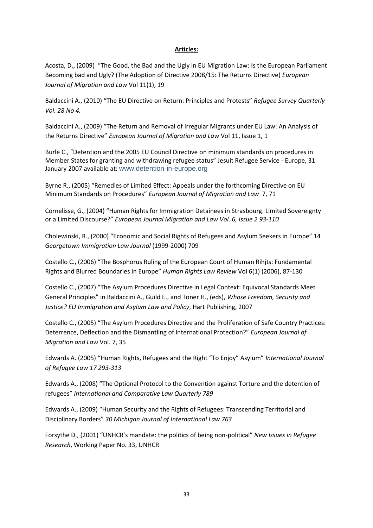## **Articles:**

Acosta, D., (2009) "The Good, the Bad and the Ugly in EU Migration Law: Is the European Parliament Becoming bad and Ugly? (The Adoption of Directive 2008/15: The Returns Directive) *European Journal of Migration and Law* Vol 11(1), 19

Baldaccini A., (2010) "The EU Directive on Return: Principles and Protests" *Refugee Survey Quarterly Vol. 28 No 4.*

Baldaccini A., (2009) "The Return and Removal of Irregular Migrants under EU Law: An Analysis of the Returns Directive" *European Journal of Migration and Law* Vol 11, Issue 1, 1

Burle C., "Detention and the 2005 EU Council Directive on minimum standards on procedures in Member States for granting and withdrawing refugee status" Jesuit Refugee Service - Europe, 31 January 2007 available at: [www.detention-in-europe.org](http://www.detention-in-europe.org/)

Byrne R., (2005) "Remedies of Limited Effect: Appeals under the forthcoming Directive on EU Minimum Standards on Procedures" *European Journal of Migration and Law* 7, 71

Cornelisse, G., (2004) "Human Rights for Immigration Detainees in Strasbourg: Limited Sovereignty or a Limited Discourse?" *European Journal Migration and Law Vol. 6, Issue 2 93-110*

Cholewinski, R., (2000) "Economic and Social Rights of Refugees and Asylum Seekers in Europe" 14 *Georgetown Immigration Law Journal* (1999-2000) 709

Costello C., (2006) "The Bosphorus Ruling of the European Court of Human Rihjts: Fundamental Rights and Blurred Boundaries in Europe" *Human Rights Law Review* Vol 6(1) (2006), 87-130

Costello C., (2007) "The Asylum Procedures Directive in Legal Context: Equivocal Standards Meet General Principles" in Baldaccini A., Guild E., and Toner H., (eds), *Whose Freedom, Security and Justice? EU Immigration and Asylum Law and Policy*, Hart Publishing, 2007

Costello C., (2005) "The Asylum Procedures Directive and the Proliferation of Safe Country Practices: Deterrence, Deflection and the Dismantling of International Protection?" *European Journal of Migration and Law* Vol. 7, 35

Edwards A. (2005) "Human Rights, Refugees and the Right "To Enjoy" Asylum" *International Journal of Refugee Law 17 293-313* 

Edwards A., (2008) "The Optional Protocol to the Convention against Torture and the detention of refugees" *International and Comparative Law Quarterly 789*

Edwards A., (2009) "Human Security and the Rights of Refugees: Transcending Territorial and Disciplinary Borders" *30 Michigan Journal of International Law 763* 

Forsythe D., (2001) "UNHCR's mandate: the politics of being non-political" *New Issues in Refugee Research*, Working Paper No. 33, UNHCR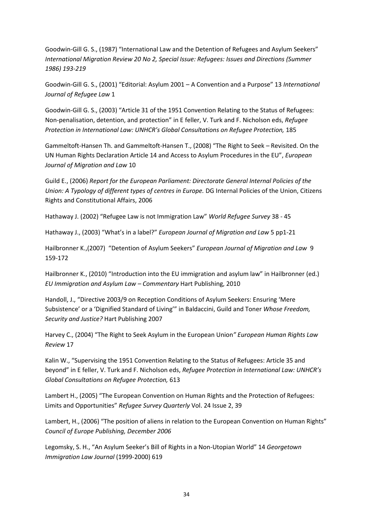Goodwin-Gill G. S., (1987) "International Law and the Detention of Refugees and Asylum Seekers" *International Migration Review 20 No 2, Special Issue: Refugees: Issues and Directions (Summer 1986) 193-219*

Goodwin-Gill G. S., (2001) "Editorial: Asylum 2001 – A Convention and a Purpose" 13 *International Journal of Refugee Law* 1

Goodwin-Gill G. S., (2003) "Article 31 of the 1951 Convention Relating to the Status of Refugees: Non-penalisation, detention, and protection" in E feller, V. Turk and F. Nicholson eds, *Refugee Protection in International Law: UNHCR's Global Consultations on Refugee Protection, 185* 

Gammeltoft-Hansen Th. and Gammeltoft-Hansen T., (2008) "The Right to Seek – Revisited. On the UN Human Rights Declaration Article 14 and Access to Asylum Procedures in the EU", *European Journal of Migration and Law* 10

Guild E., (2006) *Report for the European Parliament: Directorate General Internal Policies of the Union: A Typology of different types of centres in Europe.* DG Internal Policies of the Union, Citizens Rights and Constitutional Affairs, 2006

Hathaway J. (2002) "Refugee Law is not Immigration Law" *World Refugee Survey* 38 - 45

Hathaway J., (2003) "What's in a label?" *European Journal of Migration and Law* 5 pp1-21

Hailbronner K.,(2007) "Detention of Asylum Seekers" *European Journal of Migration and Law* 9 159-172

Hailbronner K., (2010) "Introduction into the EU immigration and asylum law" in Hailbronner (ed.) *EU Immigration and Asylum Law – Commentary* Hart Publishing, 2010

Handoll, J., "Directive 2003/9 on Reception Conditions of Asylum Seekers: Ensuring 'Mere Subsistence' or a 'Dignified Standard of Living'" in Baldaccini, Guild and Toner *Whose Freedom, Security and Justice?* Hart Publishing 2007

Harvey C., (2004) "The Right to Seek Asylum in the European Union*" European Human Rights Law Review* 17

Kalin W., "Supervising the 1951 Convention Relating to the Status of Refugees: Article 35 and beyond" in E feller, V. Turk and F. Nicholson eds, *Refugee Protection in International Law: UNHCR's Global Consultations on Refugee Protection,* 613

Lambert H., (2005) "The European Convention on Human Rights and the Protection of Refugees: Limits and Opportunities" *Refugee Survey Quarterly* Vol. 24 Issue 2, 39

Lambert, H., (2006) "The position of aliens in relation to the European Convention on Human Rights" *Council of Europe Publishing, December 2006*

Legomsky, S. H., "An Asylum Seeker's Bill of Rights in a Non-Utopian World" 14 *Georgetown Immigration Law Journal* (1999-2000) 619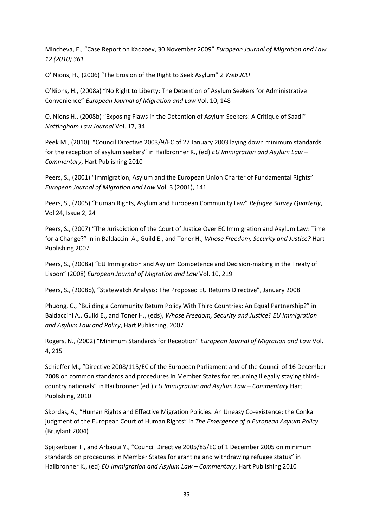Mincheva, E., "Case Report on Kadzoev, 30 November 2009" *European Journal of Migration and Law 12 (2010) 361*

O' Nions, H., (2006) "The Erosion of the Right to Seek Asylum" *2 Web JCLI*

O'Nions, H., (2008a) "No Right to Liberty: The Detention of Asylum Seekers for Administrative Convenience" *European Journal of Migration and Law* Vol. 10, 148

O, Nions H., (2008b) "Exposing Flaws in the Detention of Asylum Seekers: A Critique of Saadi" *Nottingham Law Journal* Vol. 17, 34

Peek M., (2010), "Council Directive 2003/9/EC of 27 January 2003 laying down minimum standards for the reception of asylum seekers" in Hailbronner K., (ed) *EU Immigration and Asylum Law – Commentary*, Hart Publishing 2010

Peers, S., (2001) "Immigration, Asylum and the European Union Charter of Fundamental Rights" *European Journal of Migration and Law* Vol. 3 (2001), 141

Peers, S., (2005) "Human Rights, Asylum and European Community Law" *Refugee Survey Quarterly*, Vol 24, Issue 2, 24

Peers, S., (2007) "The Jurisdiction of the Court of Justice Over EC Immigration and Asylum Law: Time for a Change?" in in Baldaccini A., Guild E., and Toner H., *Whose Freedom, Security and Justice?* Hart Publishing 2007

Peers, S., (2008a) "EU Immigration and Asylum Competence and Decision-making in the Treaty of Lisbon" (2008) *European Journal of Migration and Law* Vol. 10, 219

Peers, S., (2008b), "Statewatch Analysis: The Proposed EU Returns Directive", January 2008

Phuong, C., "Building a Community Return Policy With Third Countries: An Equal Partnership?" in Baldaccini A., Guild E., and Toner H., (eds), *Whose Freedom, Security and Justice? EU Immigration and Asylum Law and Policy*, Hart Publishing, 2007

Rogers, N., (2002) "Minimum Standards for Reception" *European Journal of Migration and Law* Vol. 4, 215

Schieffer M., "Directive 2008/115/EC of the European Parliament and of the Council of 16 December 2008 on common standards and procedures in Member States for returning illegally staying thirdcountry nationals" in Hailbronner (ed.) *EU Immigration and Asylum Law – Commentary* Hart Publishing, 2010

Skordas, A., "Human Rights and Effective Migration Policies: An Uneasy Co-existence: the Conka judgment of the European Court of Human Rights" in *The Emergence of a European Asylum Policy* (Bruylant 2004)

Spijkerboer T., and Arbaoui Y., "Council Directive 2005/85/EC of 1 December 2005 on minimum standards on procedures in Member States for granting and withdrawing refugee status" in Hailbronner K., (ed) *EU Immigration and Asylum Law – Commentary*, Hart Publishing 2010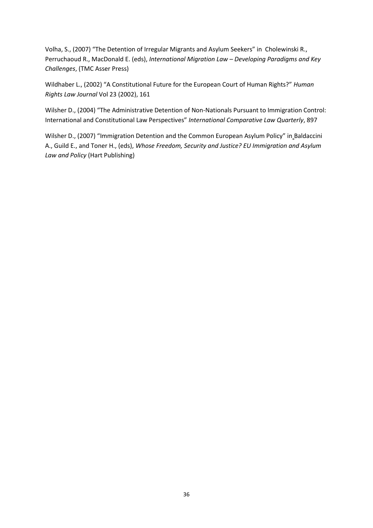Volha, S., (2007) "The Detention of Irregular Migrants and Asylum Seekers" in Cholewinski R., Perruchaoud R., MacDonald E. (eds), *International Migration Law – Developing Paradigms and Key Challenges*, (TMC Asser Press)

Wildhaber L., (2002) "A Constitutional Future for the European Court of Human Rights?" *Human Rights Law Journal* Vol 23 (2002), 161

Wilsher D., (2004) "The Administrative Detention of Non-Nationals Pursuant to Immigration Control: International and Constitutional Law Perspectives" *International Comparative Law Quarterly*, 897

Wilsher D., (2007) "Immigration Detention and the Common European Asylum Policy" in Baldaccini A., Guild E., and Toner H., (eds), *Whose Freedom, Security and Justice? EU Immigration and Asylum Law and Policy* (Hart Publishing)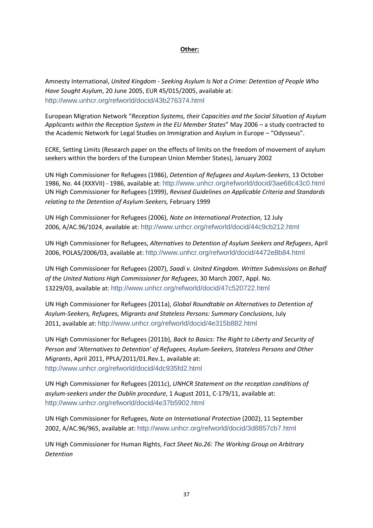## **Other:**

Amnesty International, *United Kingdom - Seeking Asylum Is Not a Crime: Detention of People Who Have Sought Asylum*, 20 June 2005, EUR 45/015/2005, available at: <http://www.unhcr.org/refworld/docid/43b276374.html>

European Migration Network "*Reception Systems, their Capacities and the Social Situation of Asylum Applicants within the Reception System in the EU Member States*" May 2006 – a study contracted to the Academic Network for Legal Studies on Immigration and Asylum in Europe – "Odysseus".

ECRE, Setting Limits (Research paper on the effects of limits on the freedom of movement of asylum seekers within the borders of the European Union Member States), January 2002

UN High Commissioner for Refugees (1986), *Detention of Refugees and Asylum-Seekers*, 13 October 1986, No. 44 (XXXVII) - 1986, available at: <http://www.unhcr.org/refworld/docid/3ae68c43c0.html> UN High Commissioner for Refugees (1999), *Revised Guidelines on Applicable Criteria and Standards relating to the Detention of Asylum-Seekers,* February 1999

UN High Commissioner for Refugees (2006), *Note on International Protection*, 12 July 2006, A/AC.96/1024, available at: <http://www.unhcr.org/refworld/docid/44c9cb212.html>

UN High Commissioner for Refugees, *Alternatives to Detention of Asylum Seekers and Refugees*, April 2006, POLAS/2006/03, available at: <http://www.unhcr.org/refworld/docid/4472e8b84.html>

UN High Commissioner for Refugees (2007), *Saadi v. United Kingdom. Written Submissions on Behalf of the United Nations High Commissioner for Refugees*, 30 March 2007, Appl. No. 13229/03, available at: <http://www.unhcr.org/refworld/docid/47c520722.html>

UN High Commissioner for Refugees (2011a), *Global Roundtable on Alternatives to Detention of Asylum-Seekers, Refugees, Migrants and Stateless Persons: Summary Conclusions*, July 2011, available at: <http://www.unhcr.org/refworld/docid/4e315b882.html>

UN High Commissioner for Refugees (2011b), *Back to Basics: The Right to Liberty and Security of Person and 'Alternatives to Detention' of Refugees, Asylum-Seekers, Stateless Persons and Other Migrants*, April 2011, PPLA/2011/01.Rev.1, available at: <http://www.unhcr.org/refworld/docid/4dc935fd2.html>

UN High Commissioner for Refugees (2011c), *UNHCR Statement on the reception conditions of asylum-seekers under the Dublin procedure*, 1 August 2011, C-179/11, available at: <http://www.unhcr.org/refworld/docid/4e37b5902.html>

UN High Commissioner for Refugees, *Note on International Protection* (2002), 11 September 2002, A/AC.96/965, available at: <http://www.unhcr.org/refworld/docid/3d8857cb7.html>

UN High Commissioner for Human Rights, *Fact Sheet No.26: The Working Group on Arbitrary Detention*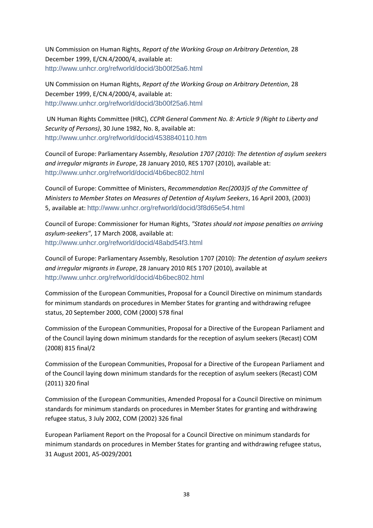UN Commission on Human Rights, *Report of the Working Group on Arbitrary Detention*, 28 December 1999, E/CN.4/2000/4, available at: <http://www.unhcr.org/refworld/docid/3b00f25a6.html>

UN Commission on Human Rights, *Report of the Working Group on Arbitrary Detention*, 28 December 1999, E/CN.4/2000/4, available at: <http://www.unhcr.org/refworld/docid/3b00f25a6.html>

UN Human Rights Committee (HRC), *CCPR General Comment No. 8: Article 9 (Right to Liberty and Security of Persons)*, 30 June 1982, No. 8, available at: <http://www.unhcr.org/refworld/docid/4538840110.htm>

Council of Europe: Parliamentary Assembly, *Resolution 1707 (2010): The detention of asylum seekers and irregular migrants in Europe*, 28 January 2010, RES 1707 (2010), available at: <http://www.unhcr.org/refworld/docid/4b6bec802.html>

Council of Europe: Committee of Ministers, *Recommendation Rec(2003)5 of the Committee of Ministers to Member States on Measures of Detention of Asylum Seekers*, 16 April 2003, (2003) 5, available at: <http://www.unhcr.org/refworld/docid/3f8d65e54.html>

Council of Europe: Commissioner for Human Rights, *"States should not impose penalties on arriving asylum-seekers"*, 17 March 2008, available at: <http://www.unhcr.org/refworld/docid/48abd54f3.html>

Council of Europe: Parliamentary Assembly, Resolution 1707 (2010): *The detention of asylum seekers and irregular migrants in Europe*, 28 January 2010 RES 1707 (2010), available at <http://www.unhcr.org/refworld/docid/4b6bec802.html>

Commission of the European Communities, Proposal for a Council Directive on minimum standards for minimum standards on procedures in Member States for granting and withdrawing refugee status, 20 September 2000, COM (2000) 578 final

Commission of the European Communities, Proposal for a Directive of the European Parliament and of the Council laying down minimum standards for the reception of asylum seekers (Recast) COM (2008) 815 final/2

Commission of the European Communities, Proposal for a Directive of the European Parliament and of the Council laying down minimum standards for the reception of asylum seekers (Recast) COM (2011) 320 final

Commission of the European Communities, Amended Proposal for a Council Directive on minimum standards for minimum standards on procedures in Member States for granting and withdrawing refugee status, 3 July 2002, COM (2002) 326 final

European Parliament Report on the Proposal for a Council Directive on minimum standards for minimum standards on procedures in Member States for granting and withdrawing refugee status, 31 August 2001, A5-0029/2001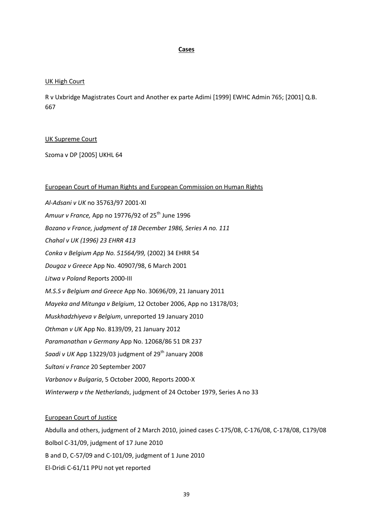#### **Cases**

## UK High Court

R v Uxbridge Magistrates Court and Another ex parte Adimi [1999] EWHC Admin 765; [2001] Q.B. 667

#### UK Supreme Court

Szoma v DP [2005] UKHL 64

#### European Court of Human Rights and European Commission on Human Rights

*Al-Adsani v UK* no 35763/97 2001-XI Amuur *v France*, App no 19776/92 of 25<sup>th</sup> June 1996 *Bozano v France, judgment of 18 December 1986, Series A no. 111 Chahal v UK (1996) 23 EHRR 413 Conka v Belgium App No. 51564/99,* (2002) 34 EHRR 54 *Dougoz v Greece* App No. 40907/98, 6 March 2001 *Litwa v Poland* Reports 2000-III *M.S.S v Belgium and Greece* App No. 30696/09, 21 January 2011 *Mayeka and Mitunga v Belgium*, 12 October 2006, App no 13178/03; *Muskhadzhiyeva v Belgium*, unreported 19 January 2010 *Othman v UK* App No. 8139/09, 21 January 2012 *Paramanathan v Germany* App No. 12068/86 51 DR 237 *Saadi v UK* App 13229/03 judgment of 29<sup>th</sup> January 2008 *Sultani v France* 20 September 2007 *Varbanov v Bulgaria*, 5 October 2000, Reports 2000-X *Winterwerp v the Netherlands*, judgment of 24 October 1979, Series A no 33

#### European Court of Justice

Abdulla and others, judgment of 2 March 2010, joined cases C-175/08, C-176/08, C-178/08, C179/08 Bolbol C-31/09, judgment of 17 June 2010 B and D, C-57/09 and C-101/09, judgment of 1 June 2010 El-Dridi C-61/11 PPU not yet reported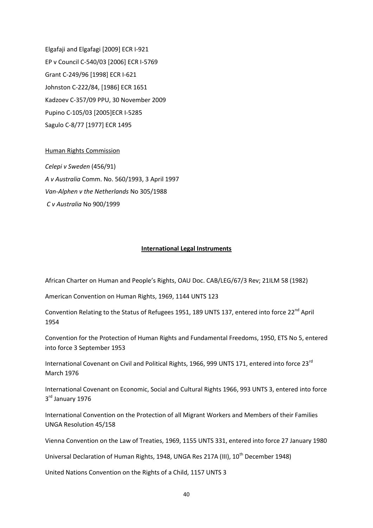Elgafaji and Elgafagi [2009] ECR I-921 EP v Council C-540/03 [2006] ECR I-5769 Grant C-249/96 [1998] ECR I-621 Johnston C-222/84, [1986] ECR 1651 Kadzoev C-357/09 PPU, 30 November 2009 Pupino C-105/03 [2005]ECR I-5285 Sagulo C-8/77 [1977] ECR 1495

## Human Rights Commission

*Celepi v Sweden* (456/91) *A v Australia* Comm. No. 560/1993, 3 April 1997 *Van-Alphen v the Netherlands* No 305/1988 *C v Australia* No 900/1999

#### **International Legal Instruments**

African Charter on Human and People's Rights, OAU Doc. CAB/LEG/67/3 Rev; 21ILM 58 (1982)

American Convention on Human Rights, 1969, 1144 UNTS 123

Convention Relating to the Status of Refugees 1951, 189 UNTS 137, entered into force 22<sup>nd</sup> April 1954

Convention for the Protection of Human Rights and Fundamental Freedoms, 1950, ETS No 5, entered into force 3 September 1953

International Covenant on Civil and Political Rights, 1966, 999 UNTS 171, entered into force 23<sup>rd</sup> March 1976

International Covenant on Economic, Social and Cultural Rights 1966, 993 UNTS 3, entered into force 3<sup>rd</sup> January 1976

International Convention on the Protection of all Migrant Workers and Members of their Families UNGA Resolution 45/158

Vienna Convention on the Law of Treaties, 1969, 1155 UNTS 331, entered into force 27 January 1980

Universal Declaration of Human Rights, 1948, UNGA Res 217A (III), 10<sup>th</sup> December 1948)

United Nations Convention on the Rights of a Child, 1157 UNTS 3